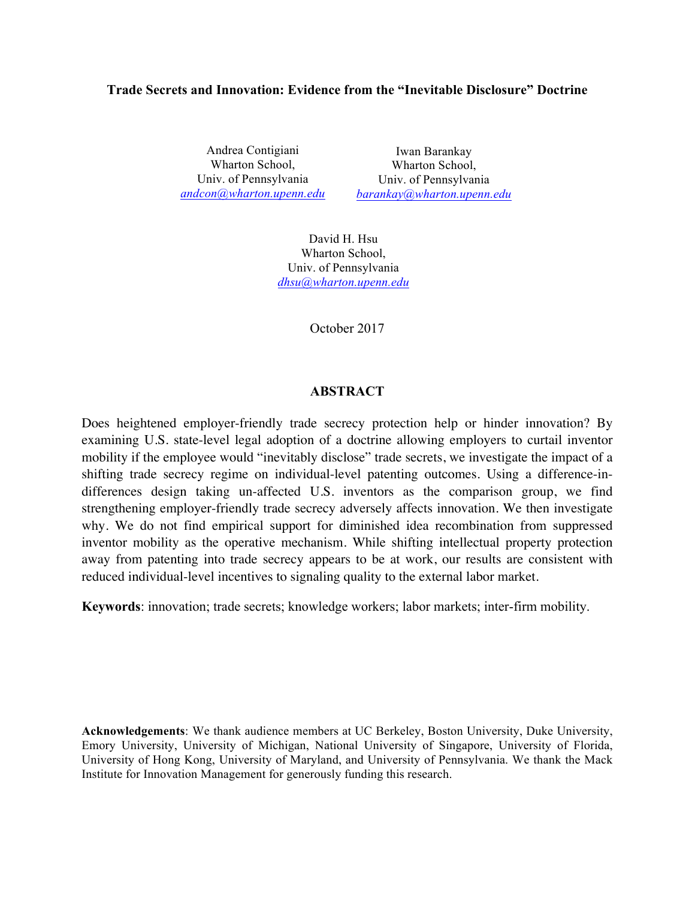# **Trade Secrets and Innovation: Evidence from the "Inevitable Disclosure" Doctrine**

Andrea Contigiani Wharton School, Univ. of Pennsylvania *andcon@wharton.upenn.edu*

Iwan Barankay Wharton School, Univ. of Pennsylvania *barankay@wharton.upenn.edu*

David H. Hsu Wharton School, Univ. of Pennsylvania *dhsu@wharton.upenn.edu*

October 2017

# **ABSTRACT**

Does heightened employer-friendly trade secrecy protection help or hinder innovation? By examining U.S. state-level legal adoption of a doctrine allowing employers to curtail inventor mobility if the employee would "inevitably disclose" trade secrets, we investigate the impact of a shifting trade secrecy regime on individual-level patenting outcomes. Using a difference-indifferences design taking un-affected U.S. inventors as the comparison group, we find strengthening employer-friendly trade secrecy adversely affects innovation. We then investigate why. We do not find empirical support for diminished idea recombination from suppressed inventor mobility as the operative mechanism. While shifting intellectual property protection away from patenting into trade secrecy appears to be at work, our results are consistent with reduced individual-level incentives to signaling quality to the external labor market.

**Keywords**: innovation; trade secrets; knowledge workers; labor markets; inter-firm mobility.

**Acknowledgements**: We thank audience members at UC Berkeley, Boston University, Duke University, Emory University, University of Michigan, National University of Singapore, University of Florida, University of Hong Kong, University of Maryland, and University of Pennsylvania. We thank the Mack Institute for Innovation Management for generously funding this research.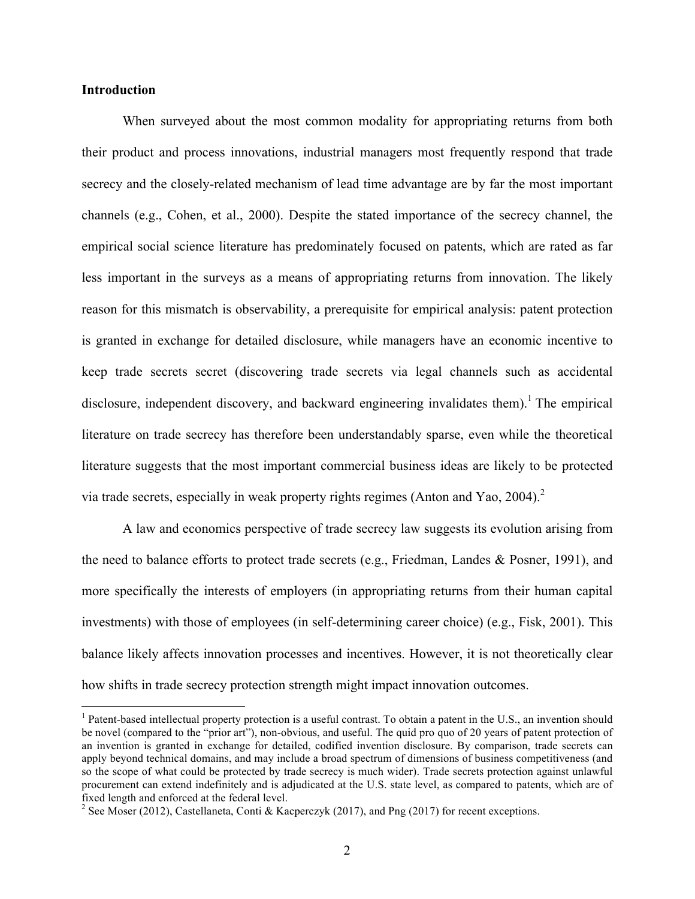### **Introduction**

When surveyed about the most common modality for appropriating returns from both their product and process innovations, industrial managers most frequently respond that trade secrecy and the closely-related mechanism of lead time advantage are by far the most important channels (e.g., Cohen, et al., 2000). Despite the stated importance of the secrecy channel, the empirical social science literature has predominately focused on patents, which are rated as far less important in the surveys as a means of appropriating returns from innovation. The likely reason for this mismatch is observability, a prerequisite for empirical analysis: patent protection is granted in exchange for detailed disclosure, while managers have an economic incentive to keep trade secrets secret (discovering trade secrets via legal channels such as accidental disclosure, independent discovery, and backward engineering invalidates them).<sup>1</sup> The empirical literature on trade secrecy has therefore been understandably sparse, even while the theoretical literature suggests that the most important commercial business ideas are likely to be protected via trade secrets, especially in weak property rights regimes (Anton and Yao, 2004).<sup>2</sup>

A law and economics perspective of trade secrecy law suggests its evolution arising from the need to balance efforts to protect trade secrets (e.g., Friedman, Landes & Posner, 1991), and more specifically the interests of employers (in appropriating returns from their human capital investments) with those of employees (in self-determining career choice) (e.g., Fisk, 2001). This balance likely affects innovation processes and incentives. However, it is not theoretically clear how shifts in trade secrecy protection strength might impact innovation outcomes.

<sup>&</sup>lt;sup>1</sup> Patent-based intellectual property protection is a useful contrast. To obtain a patent in the U.S., an invention should be novel (compared to the "prior art"), non-obvious, and useful. The quid pro quo of 20 years of patent protection of an invention is granted in exchange for detailed, codified invention disclosure. By comparison, trade secrets can apply beyond technical domains, and may include a broad spectrum of dimensions of business competitiveness (and so the scope of what could be protected by trade secrecy is much wider). Trade secrets protection against unlawful procurement can extend indefinitely and is adjudicated at the U.S. state level, as compared to patents, which are of fixed length and enforced at the federal level.

<sup>&</sup>lt;sup>2</sup> See Moser (2012), Castellaneta, Conti & Kacperczyk (2017), and Png (2017) for recent exceptions.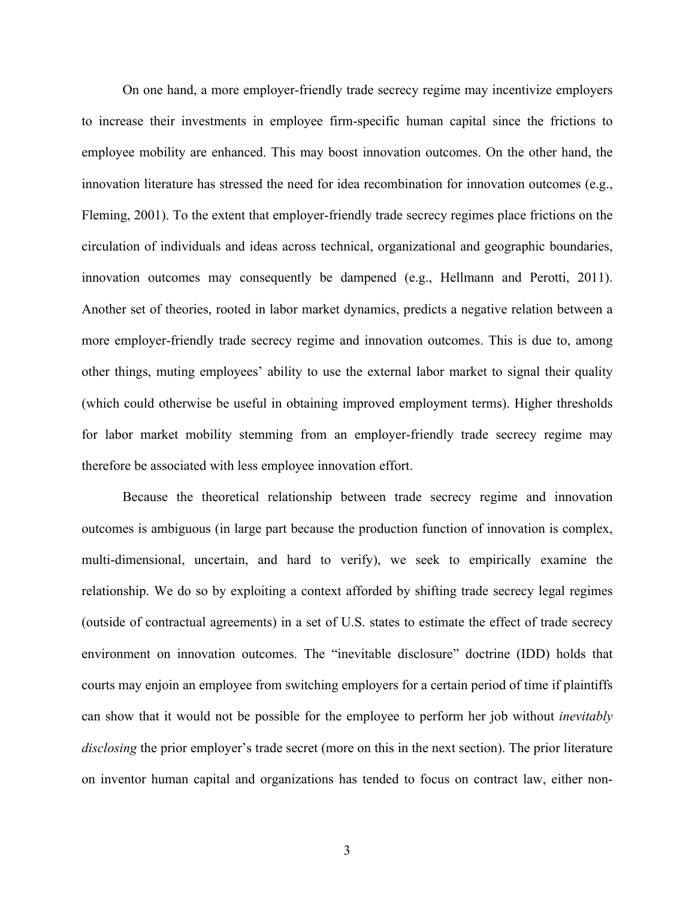On one hand, a more employer-friendly trade secrecy regime may incentivize employers to increase their investments in employee firm-specific human capital since the frictions to employee mobility are enhanced. This may boost innovation outcomes. On the other hand, the innovation literature has stressed the need for idea recombination for innovation outcomes (e.g., Fleming, 2001). To the extent that employer-friendly trade secrecy regimes place frictions on the circulation of individuals and ideas across technical, organizational and geographic boundaries, innovation outcomes may consequently be dampened (e.g., Hellmann and Perotti, 2011). Another set of theories, rooted in labor market dynamics, predicts a negative relation between a more employer-friendly trade secrecy regime and innovation outcomes. This is due to, among other things, muting employees' ability to use the external labor market to signal their quality (which could otherwise be useful in obtaining improved employment terms). Higher thresholds for labor market mobility stemming from an employer-friendly trade secrecy regime may therefore be associated with less employee innovation effort.

Because the theoretical relationship between trade secrecy regime and innovation outcomes is ambiguous (in large part because the production function of innovation is complex, multi-dimensional, uncertain, and hard to verify), we seek to empirically examine the relationship. We do so by exploiting a context afforded by shifting trade secrecy legal regimes (outside of contractual agreements) in a set of U.S. states to estimate the effect of trade secrecy environment on innovation outcomes. The "inevitable disclosure" doctrine (IDD) holds that courts may enjoin an employee from switching employers for a certain period of time if plaintiffs can show that it would not be possible for the employee to perform her job without *inevitably disclosing* the prior employer's trade secret (more on this in the next section). The prior literature on inventor human capital and organizations has tended to focus on contract law, either non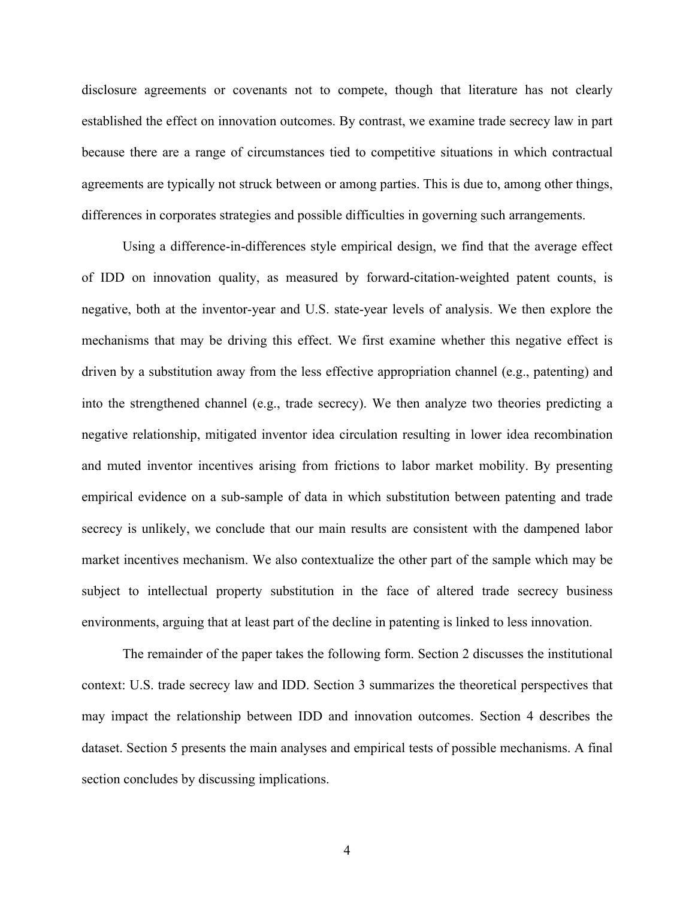disclosure agreements or covenants not to compete, though that literature has not clearly established the effect on innovation outcomes. By contrast, we examine trade secrecy law in part because there are a range of circumstances tied to competitive situations in which contractual agreements are typically not struck between or among parties. This is due to, among other things, differences in corporates strategies and possible difficulties in governing such arrangements.

Using a difference-in-differences style empirical design, we find that the average effect of IDD on innovation quality, as measured by forward-citation-weighted patent counts, is negative, both at the inventor-year and U.S. state-year levels of analysis. We then explore the mechanisms that may be driving this effect. We first examine whether this negative effect is driven by a substitution away from the less effective appropriation channel (e.g., patenting) and into the strengthened channel (e.g., trade secrecy). We then analyze two theories predicting a negative relationship, mitigated inventor idea circulation resulting in lower idea recombination and muted inventor incentives arising from frictions to labor market mobility. By presenting empirical evidence on a sub-sample of data in which substitution between patenting and trade secrecy is unlikely, we conclude that our main results are consistent with the dampened labor market incentives mechanism. We also contextualize the other part of the sample which may be subject to intellectual property substitution in the face of altered trade secrecy business environments, arguing that at least part of the decline in patenting is linked to less innovation.

The remainder of the paper takes the following form. Section 2 discusses the institutional context: U.S. trade secrecy law and IDD. Section 3 summarizes the theoretical perspectives that may impact the relationship between IDD and innovation outcomes. Section 4 describes the dataset. Section 5 presents the main analyses and empirical tests of possible mechanisms. A final section concludes by discussing implications.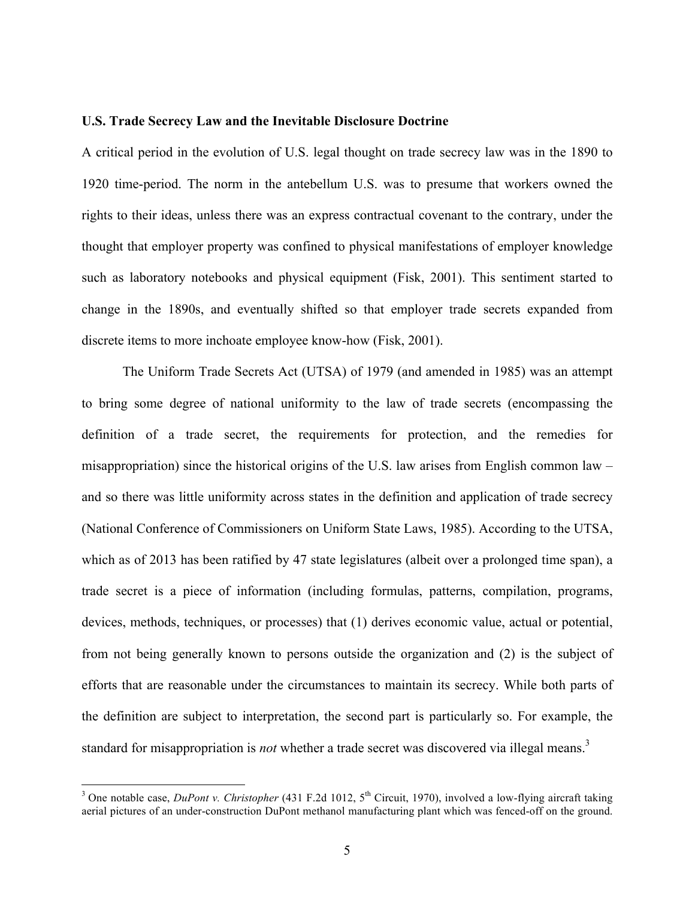### **U.S. Trade Secrecy Law and the Inevitable Disclosure Doctrine**

A critical period in the evolution of U.S. legal thought on trade secrecy law was in the 1890 to 1920 time-period. The norm in the antebellum U.S. was to presume that workers owned the rights to their ideas, unless there was an express contractual covenant to the contrary, under the thought that employer property was confined to physical manifestations of employer knowledge such as laboratory notebooks and physical equipment (Fisk, 2001). This sentiment started to change in the 1890s, and eventually shifted so that employer trade secrets expanded from discrete items to more inchoate employee know-how (Fisk, 2001).

The Uniform Trade Secrets Act (UTSA) of 1979 (and amended in 1985) was an attempt to bring some degree of national uniformity to the law of trade secrets (encompassing the definition of a trade secret, the requirements for protection, and the remedies for misappropriation) since the historical origins of the U.S. law arises from English common law – and so there was little uniformity across states in the definition and application of trade secrecy (National Conference of Commissioners on Uniform State Laws, 1985). According to the UTSA, which as of 2013 has been ratified by 47 state legislatures (albeit over a prolonged time span), a trade secret is a piece of information (including formulas, patterns, compilation, programs, devices, methods, techniques, or processes) that (1) derives economic value, actual or potential, from not being generally known to persons outside the organization and (2) is the subject of efforts that are reasonable under the circumstances to maintain its secrecy. While both parts of the definition are subject to interpretation, the second part is particularly so. For example, the standard for misappropriation is *not* whether a trade secret was discovered via illegal means.3

 $3$  One notable case, *DuPont v. Christopher* (431 F.2d 1012,  $5<sup>th</sup>$  Circuit, 1970), involved a low-flying aircraft taking aerial pictures of an under-construction DuPont methanol manufacturing plant which was fenced-off on the ground.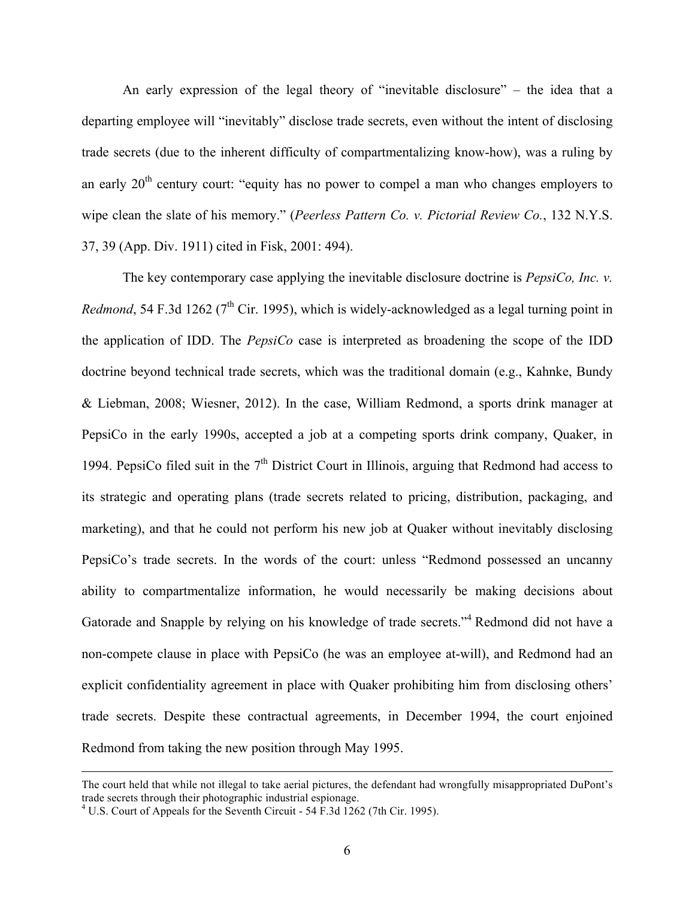An early expression of the legal theory of "inevitable disclosure" – the idea that a departing employee will "inevitably" disclose trade secrets, even without the intent of disclosing trade secrets (due to the inherent difficulty of compartmentalizing know-how), was a ruling by an early  $20<sup>th</sup>$  century court: "equity has no power to compel a man who changes employers to wipe clean the slate of his memory." (*Peerless Pattern Co. v. Pictorial Review Co.*, 132 N.Y.S. 37, 39 (App. Div. 1911) cited in Fisk, 2001: 494).

The key contemporary case applying the inevitable disclosure doctrine is *PepsiCo, Inc. v. Redmond*, 54 F.3d 1262 ( $7<sup>th</sup>$  Cir. 1995), which is widely-acknowledged as a legal turning point in the application of IDD. The *PepsiCo* case is interpreted as broadening the scope of the IDD doctrine beyond technical trade secrets, which was the traditional domain (e.g., Kahnke, Bundy & Liebman, 2008; Wiesner, 2012). In the case, William Redmond, a sports drink manager at PepsiCo in the early 1990s, accepted a job at a competing sports drink company, Quaker, in 1994. PepsiCo filed suit in the  $7<sup>th</sup>$  District Court in Illinois, arguing that Redmond had access to its strategic and operating plans (trade secrets related to pricing, distribution, packaging, and marketing), and that he could not perform his new job at Quaker without inevitably disclosing PepsiCo's trade secrets. In the words of the court: unless "Redmond possessed an uncanny ability to compartmentalize information, he would necessarily be making decisions about Gatorade and Snapple by relying on his knowledge of trade secrets."<sup>4</sup> Redmond did not have a non-compete clause in place with PepsiCo (he was an employee at-will), and Redmond had an explicit confidentiality agreement in place with Quaker prohibiting him from disclosing others' trade secrets. Despite these contractual agreements, in December 1994, the court enjoined Redmond from taking the new position through May 1995.

<u> 1989 - Andrea San Andrea San Andrea San Andrea San Andrea San Andrea San Andrea San Andrea San Andrea San An</u>

The court held that while not illegal to take aerial pictures, the defendant had wrongfully misappropriated DuPont's trade secrets through their photographic industrial espionage.

 $4$  U.S. Court of Appeals for the Seventh Circuit - 54 F.3d 1262 (7th Cir. 1995).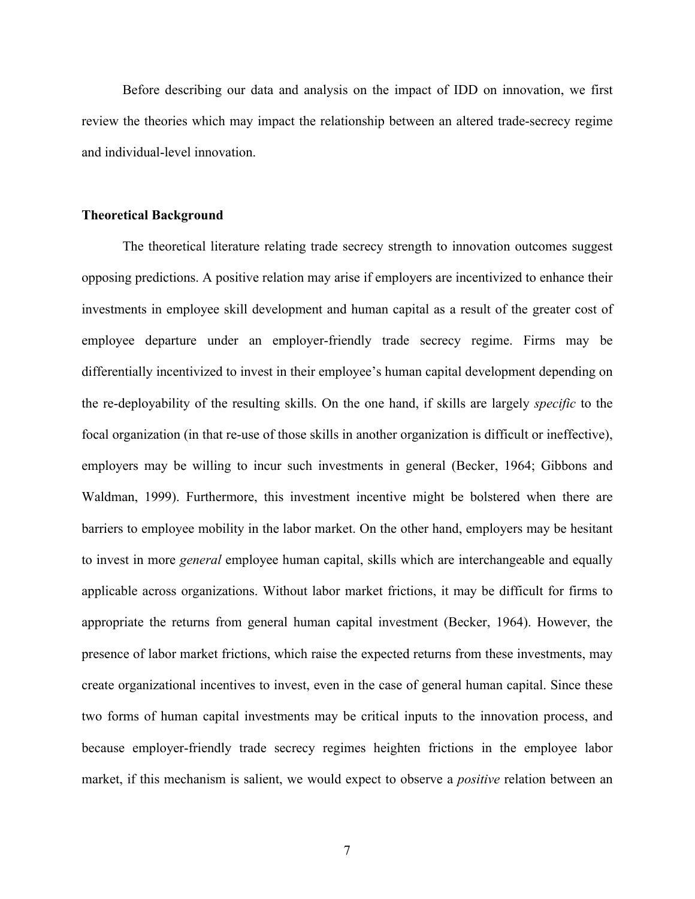Before describing our data and analysis on the impact of IDD on innovation, we first review the theories which may impact the relationship between an altered trade-secrecy regime and individual-level innovation.

#### **Theoretical Background**

The theoretical literature relating trade secrecy strength to innovation outcomes suggest opposing predictions. A positive relation may arise if employers are incentivized to enhance their investments in employee skill development and human capital as a result of the greater cost of employee departure under an employer-friendly trade secrecy regime. Firms may be differentially incentivized to invest in their employee's human capital development depending on the re-deployability of the resulting skills. On the one hand, if skills are largely *specific* to the focal organization (in that re-use of those skills in another organization is difficult or ineffective), employers may be willing to incur such investments in general (Becker, 1964; Gibbons and Waldman, 1999). Furthermore, this investment incentive might be bolstered when there are barriers to employee mobility in the labor market. On the other hand, employers may be hesitant to invest in more *general* employee human capital, skills which are interchangeable and equally applicable across organizations. Without labor market frictions, it may be difficult for firms to appropriate the returns from general human capital investment (Becker, 1964). However, the presence of labor market frictions, which raise the expected returns from these investments, may create organizational incentives to invest, even in the case of general human capital. Since these two forms of human capital investments may be critical inputs to the innovation process, and because employer-friendly trade secrecy regimes heighten frictions in the employee labor market, if this mechanism is salient, we would expect to observe a *positive* relation between an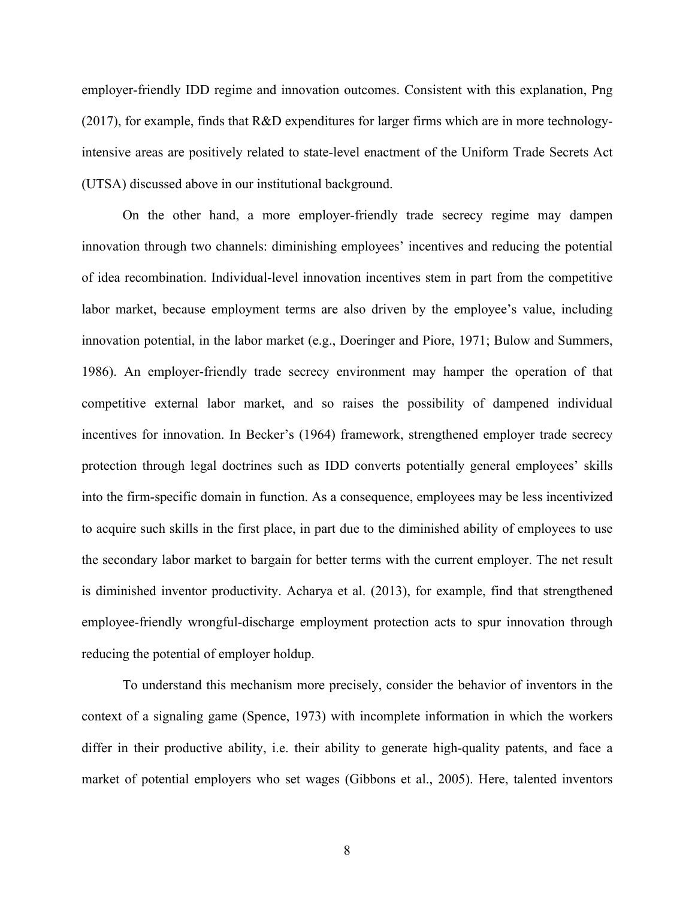employer-friendly IDD regime and innovation outcomes. Consistent with this explanation, Png (2017), for example, finds that R&D expenditures for larger firms which are in more technologyintensive areas are positively related to state-level enactment of the Uniform Trade Secrets Act (UTSA) discussed above in our institutional background.

On the other hand, a more employer-friendly trade secrecy regime may dampen innovation through two channels: diminishing employees' incentives and reducing the potential of idea recombination. Individual-level innovation incentives stem in part from the competitive labor market, because employment terms are also driven by the employee's value, including innovation potential, in the labor market (e.g., Doeringer and Piore, 1971; Bulow and Summers, 1986). An employer-friendly trade secrecy environment may hamper the operation of that competitive external labor market, and so raises the possibility of dampened individual incentives for innovation. In Becker's (1964) framework, strengthened employer trade secrecy protection through legal doctrines such as IDD converts potentially general employees' skills into the firm-specific domain in function. As a consequence, employees may be less incentivized to acquire such skills in the first place, in part due to the diminished ability of employees to use the secondary labor market to bargain for better terms with the current employer. The net result is diminished inventor productivity. Acharya et al. (2013), for example, find that strengthened employee-friendly wrongful-discharge employment protection acts to spur innovation through reducing the potential of employer holdup.

To understand this mechanism more precisely, consider the behavior of inventors in the context of a signaling game (Spence, 1973) with incomplete information in which the workers differ in their productive ability, i.e. their ability to generate high-quality patents, and face a market of potential employers who set wages (Gibbons et al., 2005). Here, talented inventors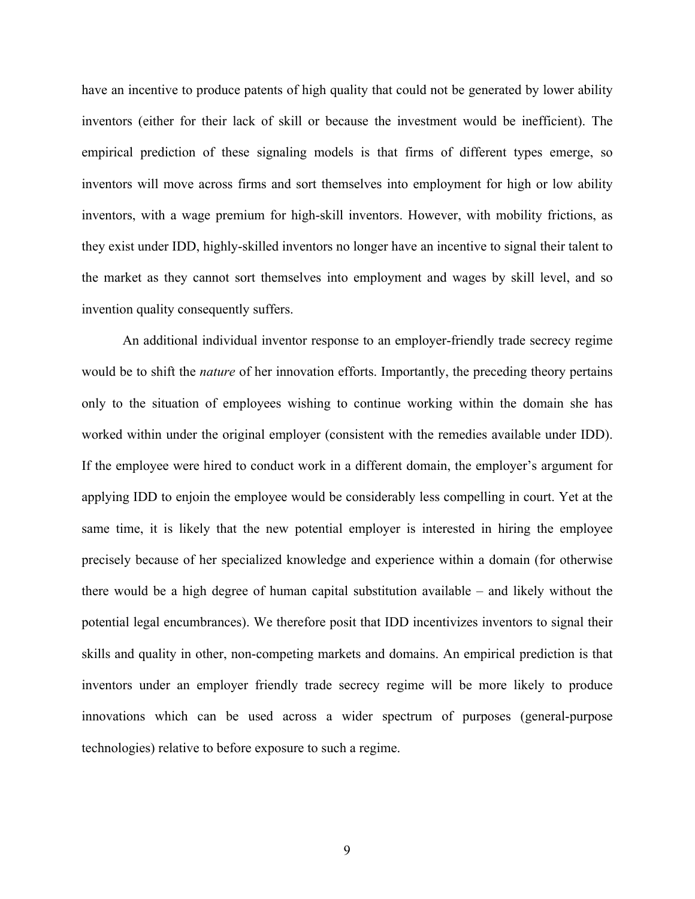have an incentive to produce patents of high quality that could not be generated by lower ability inventors (either for their lack of skill or because the investment would be inefficient). The empirical prediction of these signaling models is that firms of different types emerge, so inventors will move across firms and sort themselves into employment for high or low ability inventors, with a wage premium for high-skill inventors. However, with mobility frictions, as they exist under IDD, highly-skilled inventors no longer have an incentive to signal their talent to the market as they cannot sort themselves into employment and wages by skill level, and so invention quality consequently suffers.

An additional individual inventor response to an employer-friendly trade secrecy regime would be to shift the *nature* of her innovation efforts. Importantly, the preceding theory pertains only to the situation of employees wishing to continue working within the domain she has worked within under the original employer (consistent with the remedies available under IDD). If the employee were hired to conduct work in a different domain, the employer's argument for applying IDD to enjoin the employee would be considerably less compelling in court. Yet at the same time, it is likely that the new potential employer is interested in hiring the employee precisely because of her specialized knowledge and experience within a domain (for otherwise there would be a high degree of human capital substitution available – and likely without the potential legal encumbrances). We therefore posit that IDD incentivizes inventors to signal their skills and quality in other, non-competing markets and domains. An empirical prediction is that inventors under an employer friendly trade secrecy regime will be more likely to produce innovations which can be used across a wider spectrum of purposes (general-purpose technologies) relative to before exposure to such a regime.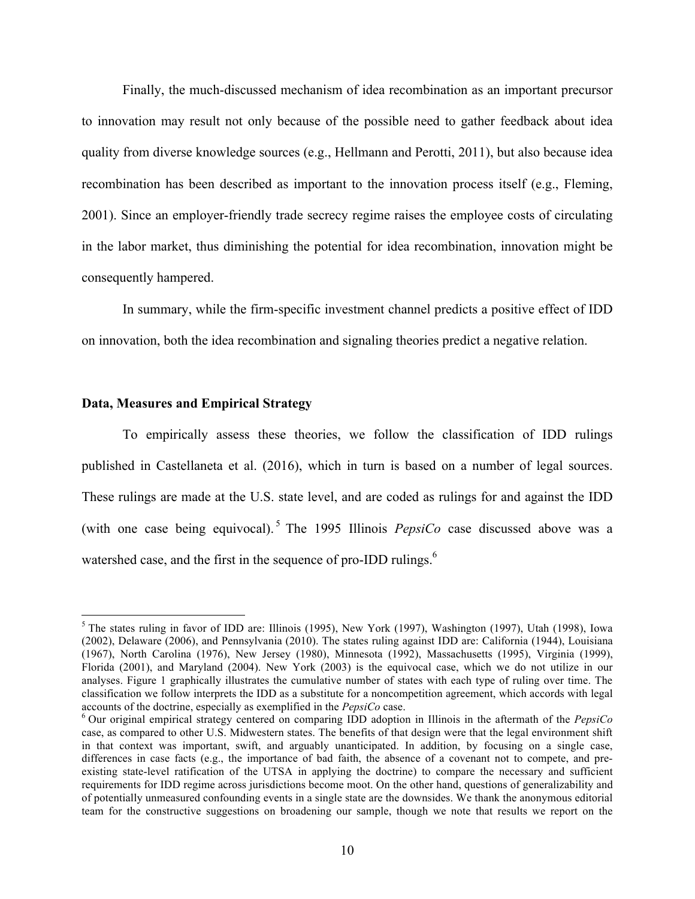Finally, the much-discussed mechanism of idea recombination as an important precursor to innovation may result not only because of the possible need to gather feedback about idea quality from diverse knowledge sources (e.g., Hellmann and Perotti, 2011), but also because idea recombination has been described as important to the innovation process itself (e.g., Fleming, 2001). Since an employer-friendly trade secrecy regime raises the employee costs of circulating in the labor market, thus diminishing the potential for idea recombination, innovation might be consequently hampered.

In summary, while the firm-specific investment channel predicts a positive effect of IDD on innovation, both the idea recombination and signaling theories predict a negative relation.

#### **Data, Measures and Empirical Strategy**

To empirically assess these theories, we follow the classification of IDD rulings published in Castellaneta et al. (2016), which in turn is based on a number of legal sources. These rulings are made at the U.S. state level, and are coded as rulings for and against the IDD (with one case being equivocal). <sup>5</sup> The 1995 Illinois *PepsiCo* case discussed above was a watershed case, and the first in the sequence of pro-IDD rulings.<sup>6</sup>

<sup>&</sup>lt;sup>5</sup> The states ruling in favor of IDD are: Illinois (1995), New York (1997), Washington (1997), Utah (1998), Iowa (2002), Delaware (2006), and Pennsylvania (2010). The states ruling against IDD are: California (1944), Louisiana (1967), North Carolina (1976), New Jersey (1980), Minnesota (1992), Massachusetts (1995), Virginia (1999), Florida (2001), and Maryland (2004). New York (2003) is the equivocal case, which we do not utilize in our analyses. Figure 1 graphically illustrates the cumulative number of states with each type of ruling over time. The classification we follow interprets the IDD as a substitute for a noncompetition agreement, which accords with legal accounts of the doctrine, especially as exemplified in the *PepsiCo* case. 6 Our original empirical strategy centered on comparing IDD adoption in Illinois in the aftermath of the *PepsiCo*

case, as compared to other U.S. Midwestern states. The benefits of that design were that the legal environment shift in that context was important, swift, and arguably unanticipated. In addition, by focusing on a single case, differences in case facts (e.g., the importance of bad faith, the absence of a covenant not to compete, and preexisting state-level ratification of the UTSA in applying the doctrine) to compare the necessary and sufficient requirements for IDD regime across jurisdictions become moot. On the other hand, questions of generalizability and of potentially unmeasured confounding events in a single state are the downsides. We thank the anonymous editorial team for the constructive suggestions on broadening our sample, though we note that results we report on the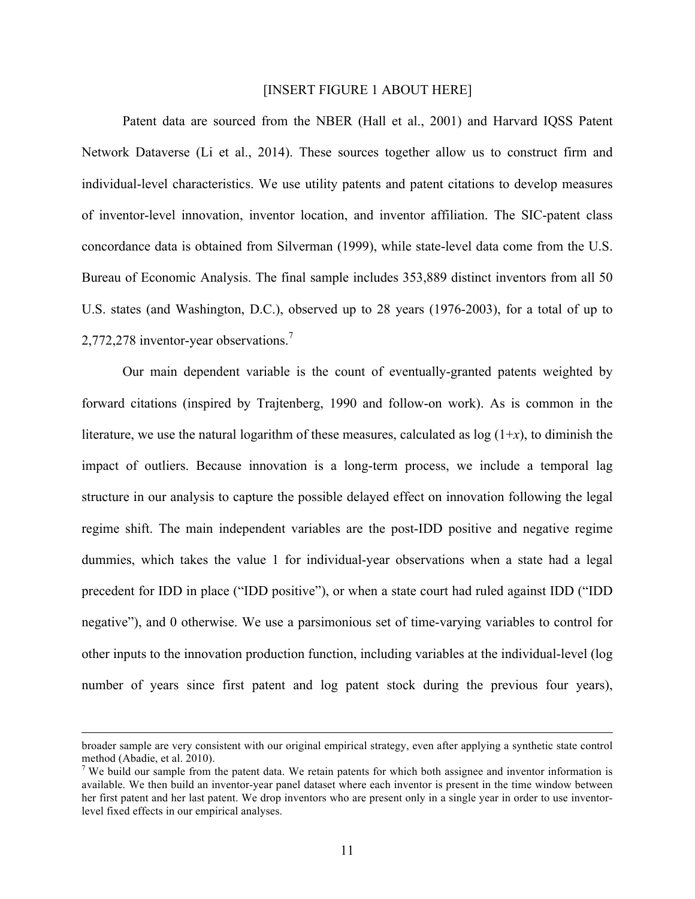### [INSERT FIGURE 1 ABOUT HERE]

Patent data are sourced from the NBER (Hall et al., 2001) and Harvard IQSS Patent Network Dataverse (Li et al., 2014). These sources together allow us to construct firm and individual-level characteristics. We use utility patents and patent citations to develop measures of inventor-level innovation, inventor location, and inventor affiliation. The SIC-patent class concordance data is obtained from Silverman (1999), while state-level data come from the U.S. Bureau of Economic Analysis. The final sample includes 353,889 distinct inventors from all 50 U.S. states (and Washington, D.C.), observed up to 28 years (1976-2003), for a total of up to 2,772,278 inventor-year observations.<sup>7</sup>

Our main dependent variable is the count of eventually-granted patents weighted by forward citations (inspired by Trajtenberg, 1990 and follow-on work). As is common in the literature, we use the natural logarithm of these measures, calculated as  $log(1+x)$ , to diminish the impact of outliers. Because innovation is a long-term process, we include a temporal lag structure in our analysis to capture the possible delayed effect on innovation following the legal regime shift. The main independent variables are the post-IDD positive and negative regime dummies, which takes the value 1 for individual-year observations when a state had a legal precedent for IDD in place ("IDD positive"), or when a state court had ruled against IDD ("IDD negative"), and 0 otherwise. We use a parsimonious set of time-varying variables to control for other inputs to the innovation production function, including variables at the individual-level (log number of years since first patent and log patent stock during the previous four years),

<sup>&</sup>lt;u> 1989 - Andrea San Andrea San Andrea San Andrea San Andrea San Andrea San Andrea San Andrea San Andrea San An</u> broader sample are very consistent with our original empirical strategy, even after applying a synthetic state control method (Abadie, et al. 2010).

<sup>&</sup>lt;sup>7</sup> We build our sample from the patent data. We retain patents for which both assignee and inventor information is available. We then build an inventor-year panel dataset where each inventor is present in the time window between her first patent and her last patent. We drop inventors who are present only in a single year in order to use inventorlevel fixed effects in our empirical analyses.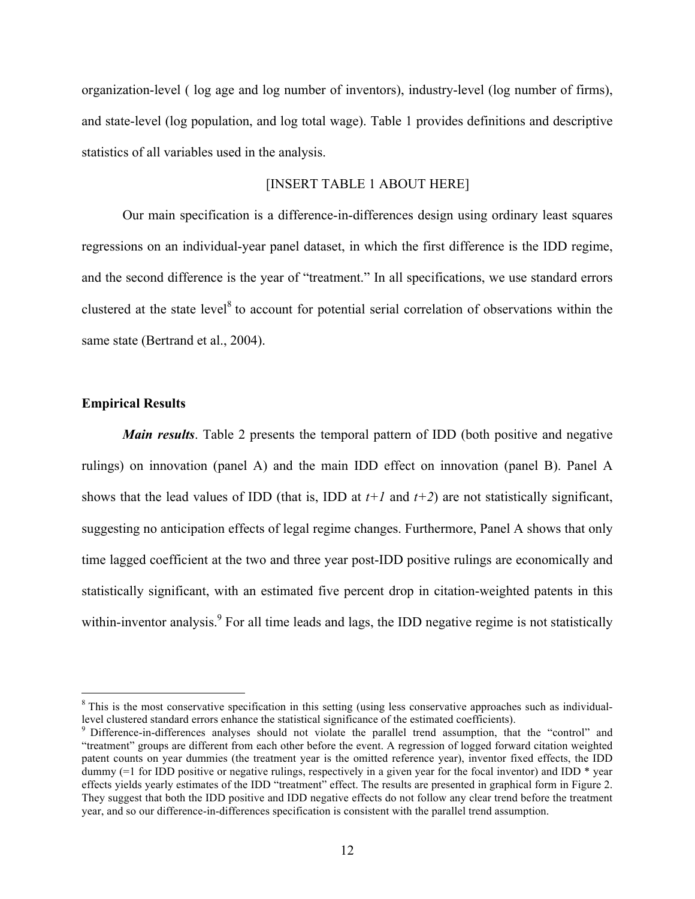organization-level ( log age and log number of inventors), industry-level (log number of firms), and state-level (log population, and log total wage). Table 1 provides definitions and descriptive statistics of all variables used in the analysis.

# [INSERT TABLE 1 ABOUT HERE]

Our main specification is a difference-in-differences design using ordinary least squares regressions on an individual-year panel dataset, in which the first difference is the IDD regime, and the second difference is the year of "treatment." In all specifications, we use standard errors clustered at the state level<sup>8</sup> to account for potential serial correlation of observations within the same state (Bertrand et al., 2004).

### **Empirical Results**

*Main results*. Table 2 presents the temporal pattern of IDD (both positive and negative rulings) on innovation (panel A) and the main IDD effect on innovation (panel B). Panel A shows that the lead values of IDD (that is, IDD at  $t+1$  and  $t+2$ ) are not statistically significant, suggesting no anticipation effects of legal regime changes. Furthermore, Panel A shows that only time lagged coefficient at the two and three year post-IDD positive rulings are economically and statistically significant, with an estimated five percent drop in citation-weighted patents in this within-inventor analysis.<sup>9</sup> For all time leads and lags, the IDD negative regime is not statistically

 $8$  This is the most conservative specification in this setting (using less conservative approaches such as individuallevel clustered standard errors enhance the statistical significance of the estimated coefficients). <sup>9</sup> Difference-in-differences analyses should not violate the parallel trend assumption, that the "control" and

<sup>&</sup>quot;treatment" groups are different from each other before the event. A regression of logged forward citation weighted patent counts on year dummies (the treatment year is the omitted reference year), inventor fixed effects, the IDD dummy  $(=1)$  for IDD positive or negative rulings, respectively in a given year for the focal inventor) and IDD  $*$  year effects yields yearly estimates of the IDD "treatment" effect. The results are presented in graphical form in Figure 2. They suggest that both the IDD positive and IDD negative effects do not follow any clear trend before the treatment year, and so our difference-in-differences specification is consistent with the parallel trend assumption.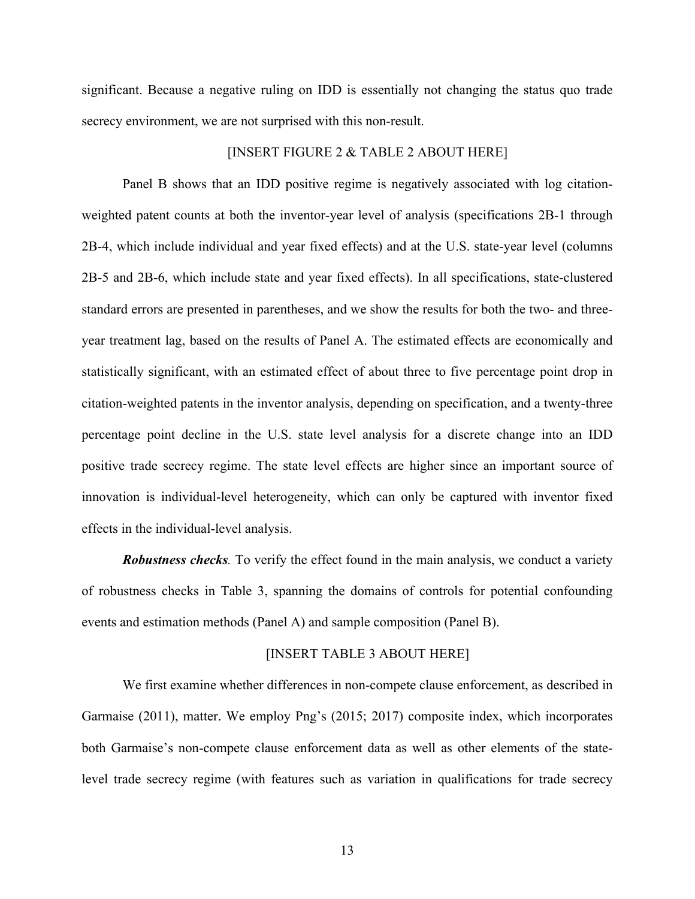significant. Because a negative ruling on IDD is essentially not changing the status quo trade secrecy environment, we are not surprised with this non-result.

### [INSERT FIGURE 2 & TABLE 2 ABOUT HERE]

Panel B shows that an IDD positive regime is negatively associated with log citationweighted patent counts at both the inventor-year level of analysis (specifications 2B-1 through 2B-4, which include individual and year fixed effects) and at the U.S. state-year level (columns 2B-5 and 2B-6, which include state and year fixed effects). In all specifications, state-clustered standard errors are presented in parentheses, and we show the results for both the two- and threeyear treatment lag, based on the results of Panel A. The estimated effects are economically and statistically significant, with an estimated effect of about three to five percentage point drop in citation-weighted patents in the inventor analysis, depending on specification, and a twenty-three percentage point decline in the U.S. state level analysis for a discrete change into an IDD positive trade secrecy regime. The state level effects are higher since an important source of innovation is individual-level heterogeneity, which can only be captured with inventor fixed effects in the individual-level analysis.

*Robustness checks.* To verify the effect found in the main analysis, we conduct a variety of robustness checks in Table 3, spanning the domains of controls for potential confounding events and estimation methods (Panel A) and sample composition (Panel B).

#### [INSERT TABLE 3 ABOUT HERE]

We first examine whether differences in non-compete clause enforcement, as described in Garmaise (2011), matter. We employ Png's (2015; 2017) composite index, which incorporates both Garmaise's non-compete clause enforcement data as well as other elements of the statelevel trade secrecy regime (with features such as variation in qualifications for trade secrecy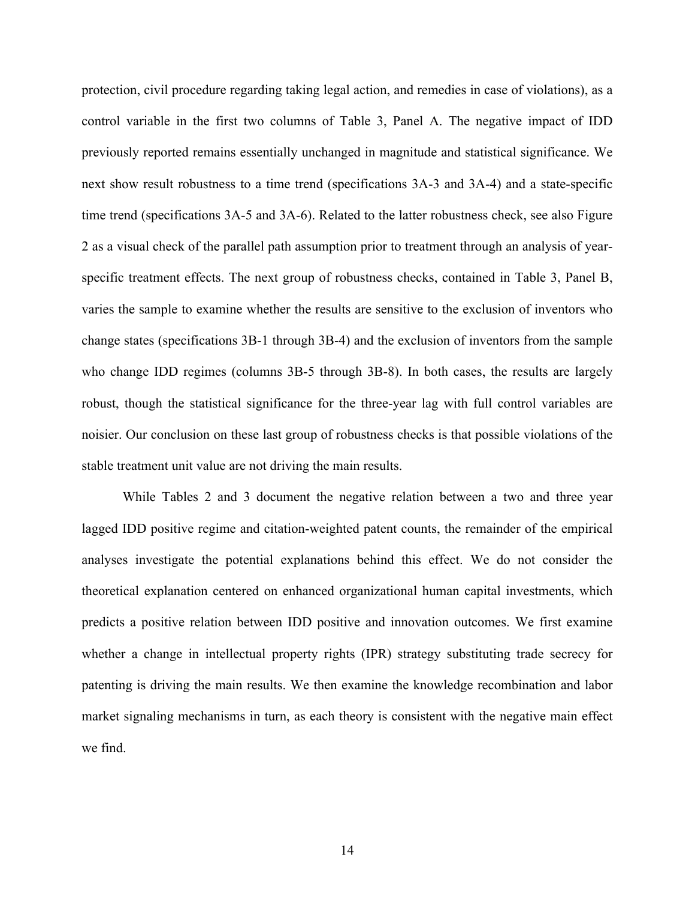protection, civil procedure regarding taking legal action, and remedies in case of violations), as a control variable in the first two columns of Table 3, Panel A. The negative impact of IDD previously reported remains essentially unchanged in magnitude and statistical significance. We next show result robustness to a time trend (specifications 3A-3 and 3A-4) and a state-specific time trend (specifications 3A-5 and 3A-6). Related to the latter robustness check, see also Figure 2 as a visual check of the parallel path assumption prior to treatment through an analysis of yearspecific treatment effects. The next group of robustness checks, contained in Table 3, Panel B, varies the sample to examine whether the results are sensitive to the exclusion of inventors who change states (specifications 3B-1 through 3B-4) and the exclusion of inventors from the sample who change IDD regimes (columns 3B-5 through 3B-8). In both cases, the results are largely robust, though the statistical significance for the three-year lag with full control variables are noisier. Our conclusion on these last group of robustness checks is that possible violations of the stable treatment unit value are not driving the main results.

While Tables 2 and 3 document the negative relation between a two and three year lagged IDD positive regime and citation-weighted patent counts, the remainder of the empirical analyses investigate the potential explanations behind this effect. We do not consider the theoretical explanation centered on enhanced organizational human capital investments, which predicts a positive relation between IDD positive and innovation outcomes. We first examine whether a change in intellectual property rights (IPR) strategy substituting trade secrecy for patenting is driving the main results. We then examine the knowledge recombination and labor market signaling mechanisms in turn, as each theory is consistent with the negative main effect we find.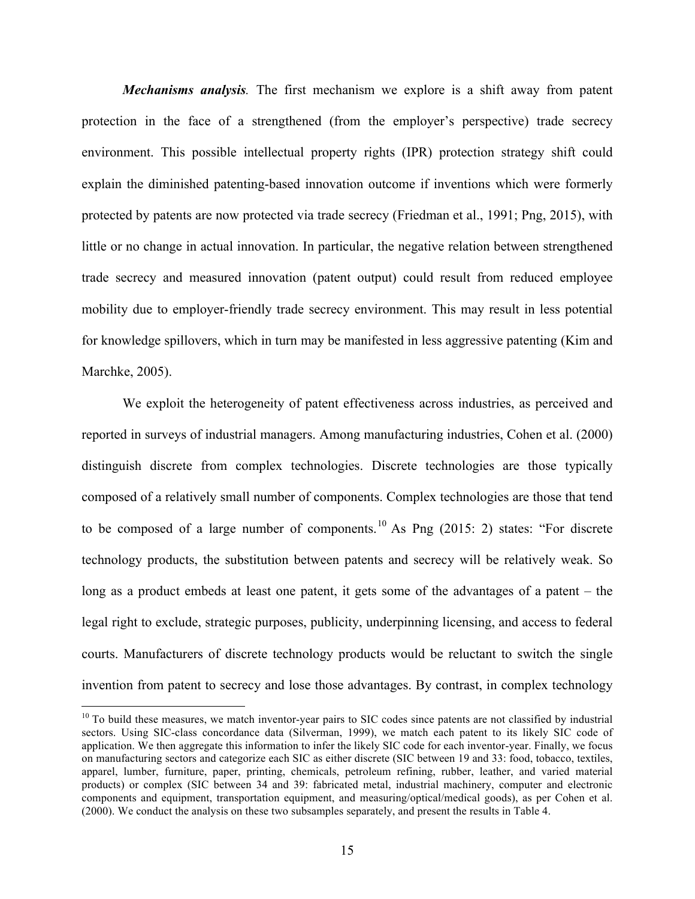*Mechanisms analysis.* The first mechanism we explore is a shift away from patent protection in the face of a strengthened (from the employer's perspective) trade secrecy environment. This possible intellectual property rights (IPR) protection strategy shift could explain the diminished patenting-based innovation outcome if inventions which were formerly protected by patents are now protected via trade secrecy (Friedman et al., 1991; Png, 2015), with little or no change in actual innovation. In particular, the negative relation between strengthened trade secrecy and measured innovation (patent output) could result from reduced employee mobility due to employer-friendly trade secrecy environment. This may result in less potential for knowledge spillovers, which in turn may be manifested in less aggressive patenting (Kim and Marchke, 2005).

We exploit the heterogeneity of patent effectiveness across industries, as perceived and reported in surveys of industrial managers. Among manufacturing industries, Cohen et al. (2000) distinguish discrete from complex technologies. Discrete technologies are those typically composed of a relatively small number of components. Complex technologies are those that tend to be composed of a large number of components.<sup>10</sup> As Png  $(2015: 2)$  states: "For discrete technology products, the substitution between patents and secrecy will be relatively weak. So long as a product embeds at least one patent, it gets some of the advantages of a patent – the legal right to exclude, strategic purposes, publicity, underpinning licensing, and access to federal courts. Manufacturers of discrete technology products would be reluctant to switch the single invention from patent to secrecy and lose those advantages. By contrast, in complex technology

<sup>&</sup>lt;sup>10</sup> To build these measures, we match inventor-year pairs to SIC codes since patents are not classified by industrial sectors. Using SIC-class concordance data (Silverman, 1999), we match each patent to its likely SIC code of application. We then aggregate this information to infer the likely SIC code for each inventor-year. Finally, we focus on manufacturing sectors and categorize each SIC as either discrete (SIC between 19 and 33: food, tobacco, textiles, apparel, lumber, furniture, paper, printing, chemicals, petroleum refining, rubber, leather, and varied material products) or complex (SIC between 34 and 39: fabricated metal, industrial machinery, computer and electronic components and equipment, transportation equipment, and measuring/optical/medical goods), as per Cohen et al. (2000). We conduct the analysis on these two subsamples separately, and present the results in Table 4.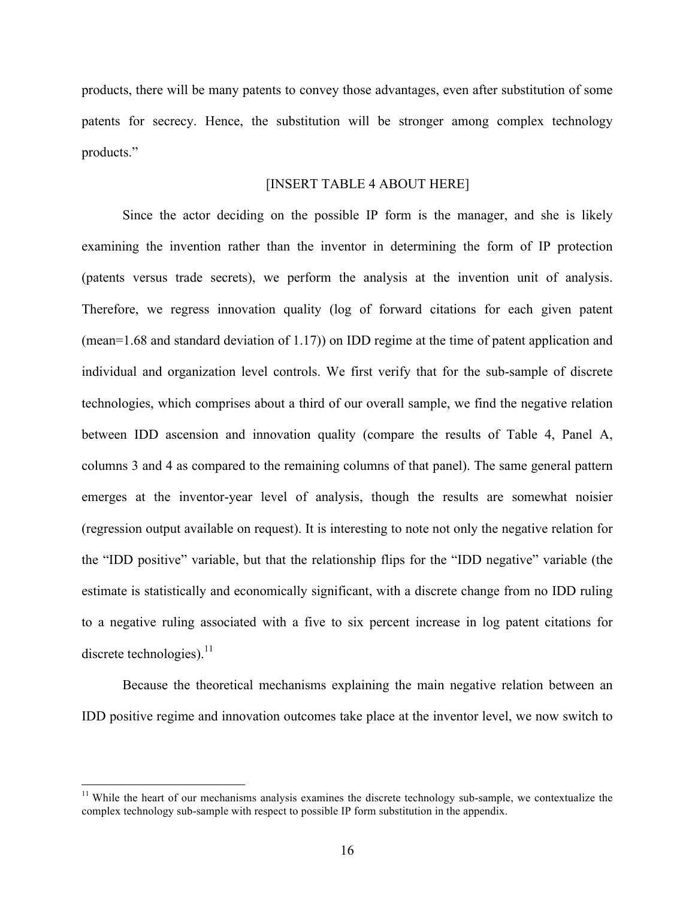products, there will be many patents to convey those advantages, even after substitution of some patents for secrecy. Hence, the substitution will be stronger among complex technology products."

### [INSERT TABLE 4 ABOUT HERE]

Since the actor deciding on the possible IP form is the manager, and she is likely examining the invention rather than the inventor in determining the form of IP protection (patents versus trade secrets), we perform the analysis at the invention unit of analysis. Therefore, we regress innovation quality (log of forward citations for each given patent (mean=1.68 and standard deviation of 1.17)) on IDD regime at the time of patent application and individual and organization level controls. We first verify that for the sub-sample of discrete technologies, which comprises about a third of our overall sample, we find the negative relation between IDD ascension and innovation quality (compare the results of Table 4, Panel A, columns 3 and 4 as compared to the remaining columns of that panel). The same general pattern emerges at the inventor-year level of analysis, though the results are somewhat noisier (regression output available on request). It is interesting to note not only the negative relation for the "IDD positive" variable, but that the relationship flips for the "IDD negative" variable (the estimate is statistically and economically significant, with a discrete change from no IDD ruling to a negative ruling associated with a five to six percent increase in log patent citations for discrete technologies). $^{11}$ 

Because the theoretical mechanisms explaining the main negative relation between an IDD positive regime and innovation outcomes take place at the inventor level, we now switch to

 $11$  While the heart of our mechanisms analysis examines the discrete technology sub-sample, we contextualize the complex technology sub-sample with respect to possible IP form substitution in the appendix.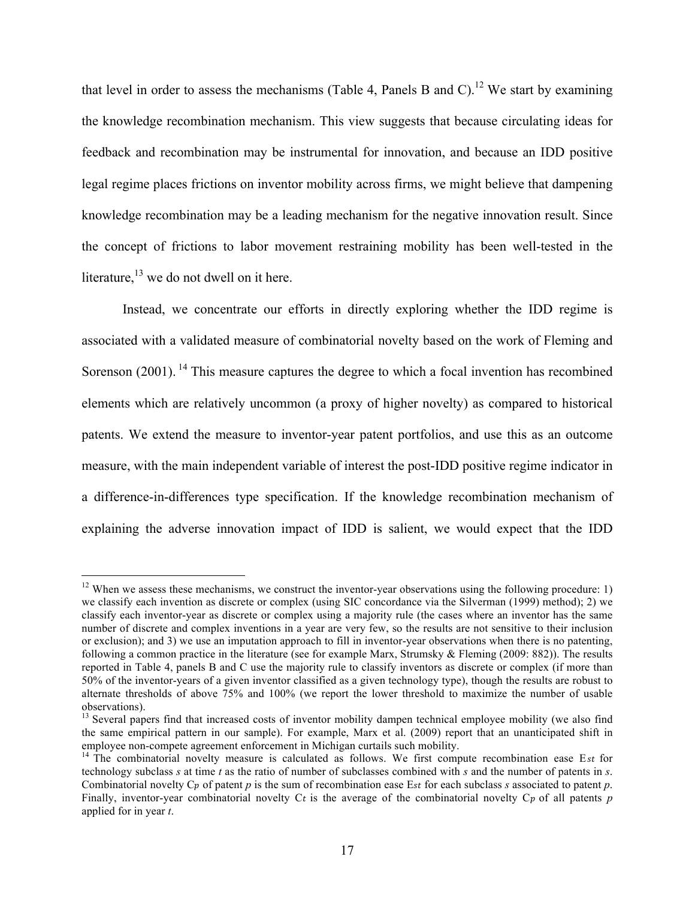that level in order to assess the mechanisms (Table 4, Panels B and C).<sup>12</sup> We start by examining the knowledge recombination mechanism. This view suggests that because circulating ideas for feedback and recombination may be instrumental for innovation, and because an IDD positive legal regime places frictions on inventor mobility across firms, we might believe that dampening knowledge recombination may be a leading mechanism for the negative innovation result. Since the concept of frictions to labor movement restraining mobility has been well-tested in the literature,  $13$  we do not dwell on it here.

Instead, we concentrate our efforts in directly exploring whether the IDD regime is associated with a validated measure of combinatorial novelty based on the work of Fleming and Sorenson  $(2001)$ . <sup>14</sup> This measure captures the degree to which a focal invention has recombined elements which are relatively uncommon (a proxy of higher novelty) as compared to historical patents. We extend the measure to inventor-year patent portfolios, and use this as an outcome measure, with the main independent variable of interest the post-IDD positive regime indicator in a difference-in-differences type specification. If the knowledge recombination mechanism of explaining the adverse innovation impact of IDD is salient, we would expect that the IDD

 $12$  When we assess these mechanisms, we construct the inventor-year observations using the following procedure: 1) we classify each invention as discrete or complex (using SIC concordance via the Silverman (1999) method); 2) we classify each inventor-year as discrete or complex using a majority rule (the cases where an inventor has the same number of discrete and complex inventions in a year are very few, so the results are not sensitive to their inclusion or exclusion); and 3) we use an imputation approach to fill in inventor-year observations when there is no patenting, following a common practice in the literature (see for example Marx, Strumsky & Fleming (2009: 882)). The results reported in Table 4, panels B and C use the majority rule to classify inventors as discrete or complex (if more than 50% of the inventor-years of a given inventor classified as a given technology type), though the results are robust to alternate thresholds of above 75% and 100% (we report the lower threshold to maximize the number of usable observations).

<sup>&</sup>lt;sup>13</sup> Several papers find that increased costs of inventor mobility dampen technical employee mobility (we also find the same empirical pattern in our sample). For example, Marx et al. (2009) report that an unanticipated shift in employee non-compete agreement enforcement in Michigan curtails such mobility.

<sup>&</sup>lt;sup>14</sup> The combinatorial novelty measure is calculated as follows. We first compute recombination ease E<sub>st</sub> for technology subclass *s* at time *t* as the ratio of number of subclasses combined with *s* and the number of patents in *s*. Combinatorial novelty  $C_p$  of patent p is the sum of recombination ease Est for each subclass s associated to patent p. Finally, inventor-year combinatorial novelty  $C_t$  is the average of the combinatorial novelty  $C_p$  of all patents  $p$ applied for in year *t*.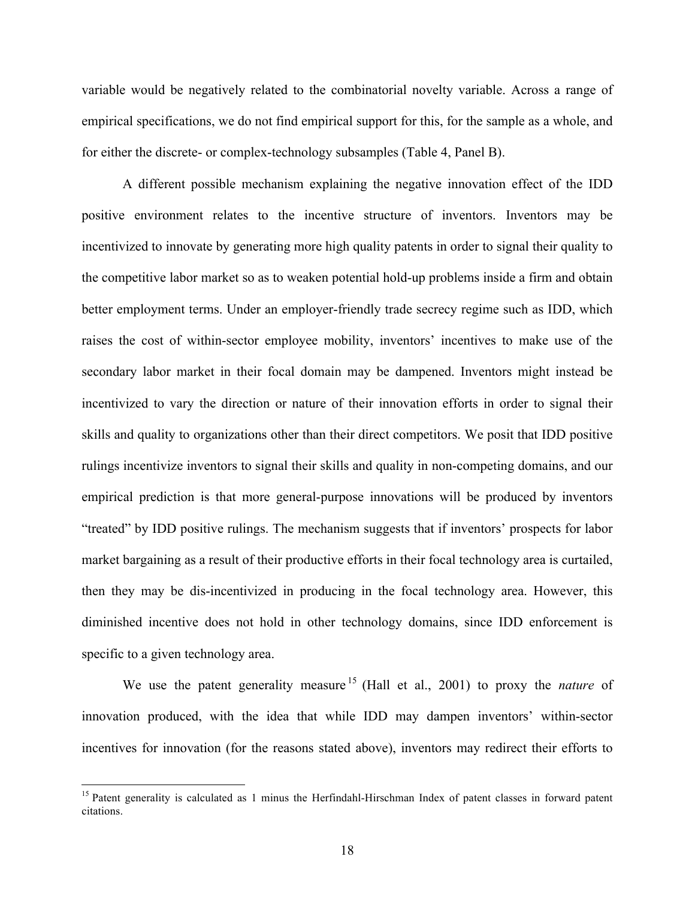variable would be negatively related to the combinatorial novelty variable. Across a range of empirical specifications, we do not find empirical support for this, for the sample as a whole, and for either the discrete- or complex-technology subsamples (Table 4, Panel B).

A different possible mechanism explaining the negative innovation effect of the IDD positive environment relates to the incentive structure of inventors. Inventors may be incentivized to innovate by generating more high quality patents in order to signal their quality to the competitive labor market so as to weaken potential hold-up problems inside a firm and obtain better employment terms. Under an employer-friendly trade secrecy regime such as IDD, which raises the cost of within-sector employee mobility, inventors' incentives to make use of the secondary labor market in their focal domain may be dampened. Inventors might instead be incentivized to vary the direction or nature of their innovation efforts in order to signal their skills and quality to organizations other than their direct competitors. We posit that IDD positive rulings incentivize inventors to signal their skills and quality in non-competing domains, and our empirical prediction is that more general-purpose innovations will be produced by inventors "treated" by IDD positive rulings. The mechanism suggests that if inventors' prospects for labor market bargaining as a result of their productive efforts in their focal technology area is curtailed, then they may be dis-incentivized in producing in the focal technology area. However, this diminished incentive does not hold in other technology domains, since IDD enforcement is specific to a given technology area.

We use the patent generality measure<sup>15</sup> (Hall et al., 2001) to proxy the *nature* of innovation produced, with the idea that while IDD may dampen inventors' within-sector incentives for innovation (for the reasons stated above), inventors may redirect their efforts to

<sup>&</sup>lt;sup>15</sup> Patent generality is calculated as 1 minus the Herfindahl-Hirschman Index of patent classes in forward patent citations.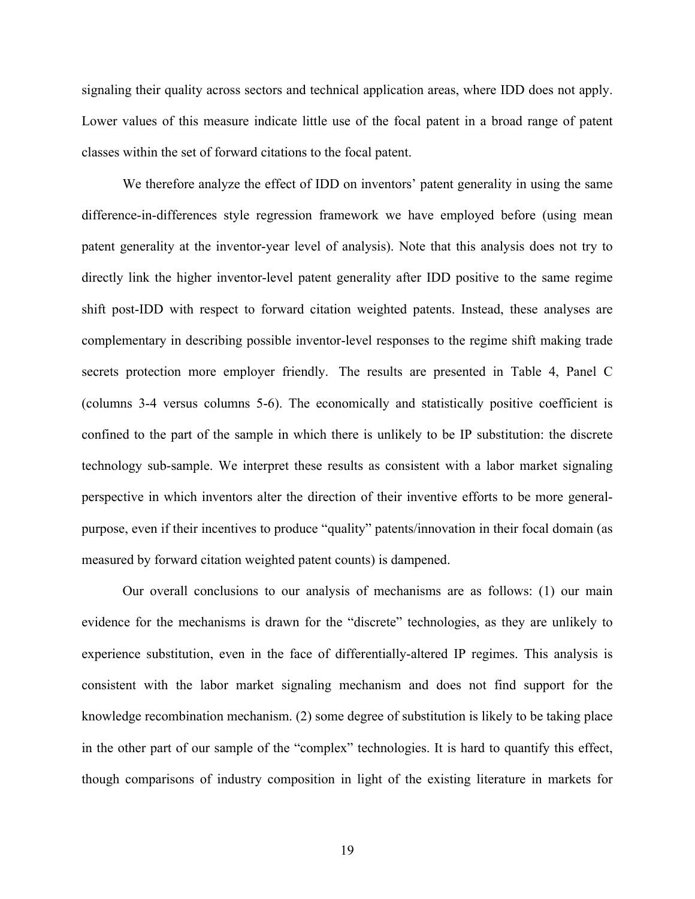signaling their quality across sectors and technical application areas, where IDD does not apply. Lower values of this measure indicate little use of the focal patent in a broad range of patent classes within the set of forward citations to the focal patent.

We therefore analyze the effect of IDD on inventors' patent generality in using the same difference-in-differences style regression framework we have employed before (using mean patent generality at the inventor-year level of analysis). Note that this analysis does not try to directly link the higher inventor-level patent generality after IDD positive to the same regime shift post-IDD with respect to forward citation weighted patents. Instead, these analyses are complementary in describing possible inventor-level responses to the regime shift making trade secrets protection more employer friendly. The results are presented in Table 4, Panel C (columns 3-4 versus columns 5-6). The economically and statistically positive coefficient is confined to the part of the sample in which there is unlikely to be IP substitution: the discrete technology sub-sample. We interpret these results as consistent with a labor market signaling perspective in which inventors alter the direction of their inventive efforts to be more generalpurpose, even if their incentives to produce "quality" patents/innovation in their focal domain (as measured by forward citation weighted patent counts) is dampened.

Our overall conclusions to our analysis of mechanisms are as follows: (1) our main evidence for the mechanisms is drawn for the "discrete" technologies, as they are unlikely to experience substitution, even in the face of differentially-altered IP regimes. This analysis is consistent with the labor market signaling mechanism and does not find support for the knowledge recombination mechanism. (2) some degree of substitution is likely to be taking place in the other part of our sample of the "complex" technologies. It is hard to quantify this effect, though comparisons of industry composition in light of the existing literature in markets for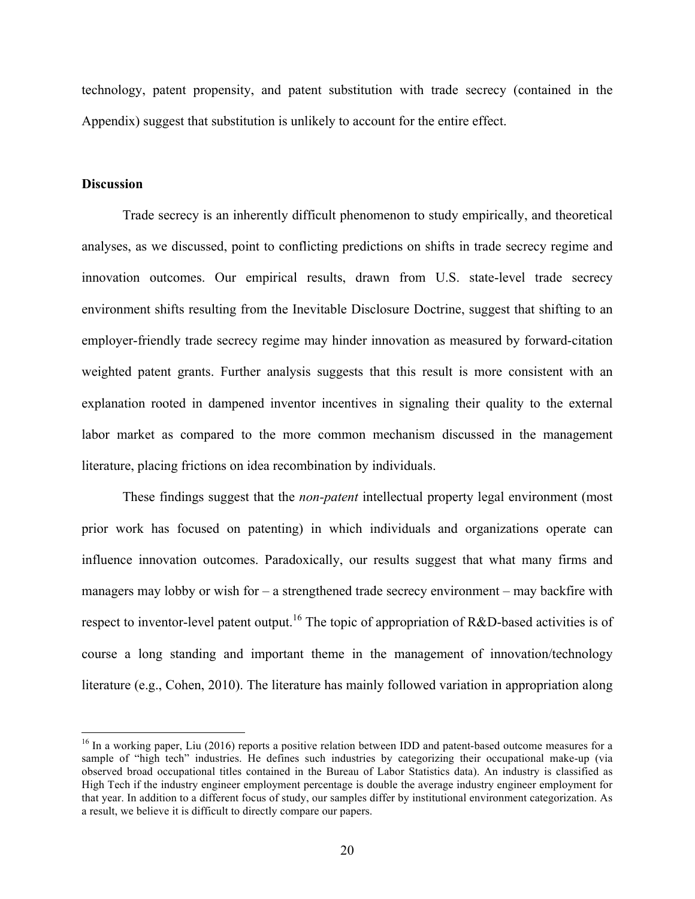technology, patent propensity, and patent substitution with trade secrecy (contained in the Appendix) suggest that substitution is unlikely to account for the entire effect.

#### **Discussion**

Trade secrecy is an inherently difficult phenomenon to study empirically, and theoretical analyses, as we discussed, point to conflicting predictions on shifts in trade secrecy regime and innovation outcomes. Our empirical results, drawn from U.S. state-level trade secrecy environment shifts resulting from the Inevitable Disclosure Doctrine, suggest that shifting to an employer-friendly trade secrecy regime may hinder innovation as measured by forward-citation weighted patent grants. Further analysis suggests that this result is more consistent with an explanation rooted in dampened inventor incentives in signaling their quality to the external labor market as compared to the more common mechanism discussed in the management literature, placing frictions on idea recombination by individuals.

These findings suggest that the *non-patent* intellectual property legal environment (most prior work has focused on patenting) in which individuals and organizations operate can influence innovation outcomes. Paradoxically, our results suggest that what many firms and managers may lobby or wish for – a strengthened trade secrecy environment – may backfire with respect to inventor-level patent output.<sup>16</sup> The topic of appropriation of R&D-based activities is of course a long standing and important theme in the management of innovation/technology literature (e.g., Cohen, 2010). The literature has mainly followed variation in appropriation along

 $16$  In a working paper, Liu (2016) reports a positive relation between IDD and patent-based outcome measures for a sample of "high tech" industries. He defines such industries by categorizing their occupational make-up (via observed broad occupational titles contained in the Bureau of Labor Statistics data). An industry is classified as High Tech if the industry engineer employment percentage is double the average industry engineer employment for that year. In addition to a different focus of study, our samples differ by institutional environment categorization. As a result, we believe it is difficult to directly compare our papers.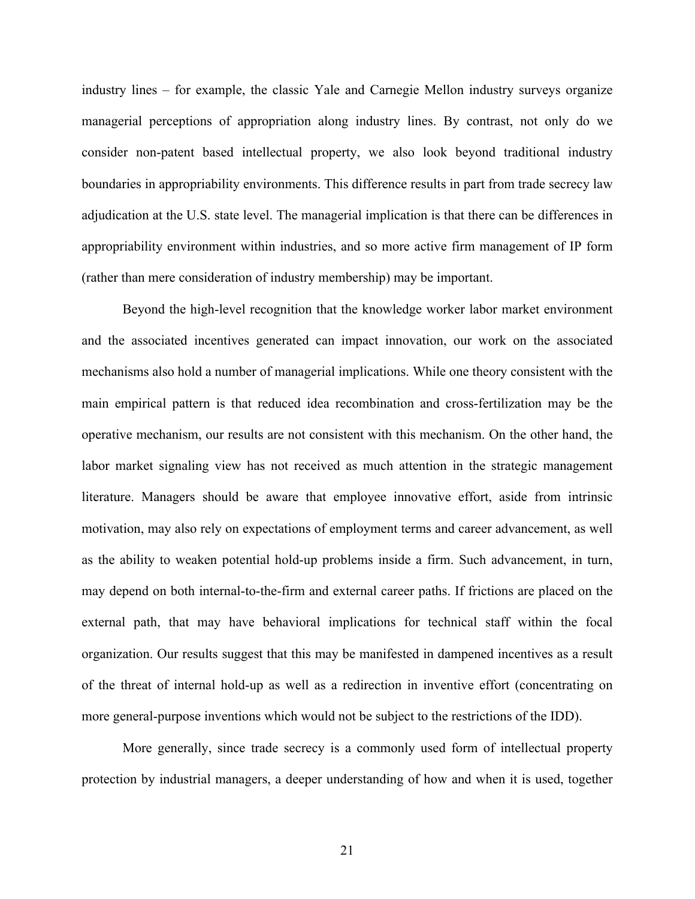industry lines – for example, the classic Yale and Carnegie Mellon industry surveys organize managerial perceptions of appropriation along industry lines. By contrast, not only do we consider non-patent based intellectual property, we also look beyond traditional industry boundaries in appropriability environments. This difference results in part from trade secrecy law adjudication at the U.S. state level. The managerial implication is that there can be differences in appropriability environment within industries, and so more active firm management of IP form (rather than mere consideration of industry membership) may be important.

Beyond the high-level recognition that the knowledge worker labor market environment and the associated incentives generated can impact innovation, our work on the associated mechanisms also hold a number of managerial implications. While one theory consistent with the main empirical pattern is that reduced idea recombination and cross-fertilization may be the operative mechanism, our results are not consistent with this mechanism. On the other hand, the labor market signaling view has not received as much attention in the strategic management literature. Managers should be aware that employee innovative effort, aside from intrinsic motivation, may also rely on expectations of employment terms and career advancement, as well as the ability to weaken potential hold-up problems inside a firm. Such advancement, in turn, may depend on both internal-to-the-firm and external career paths. If frictions are placed on the external path, that may have behavioral implications for technical staff within the focal organization. Our results suggest that this may be manifested in dampened incentives as a result of the threat of internal hold-up as well as a redirection in inventive effort (concentrating on more general-purpose inventions which would not be subject to the restrictions of the IDD).

More generally, since trade secrecy is a commonly used form of intellectual property protection by industrial managers, a deeper understanding of how and when it is used, together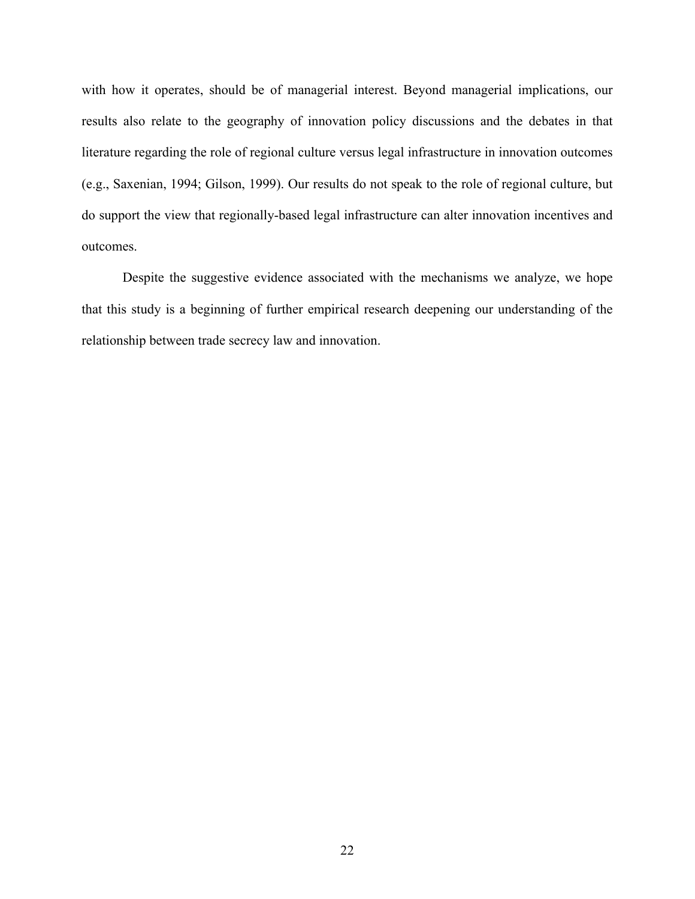with how it operates, should be of managerial interest. Beyond managerial implications, our results also relate to the geography of innovation policy discussions and the debates in that literature regarding the role of regional culture versus legal infrastructure in innovation outcomes (e.g., Saxenian, 1994; Gilson, 1999). Our results do not speak to the role of regional culture, but do support the view that regionally-based legal infrastructure can alter innovation incentives and outcomes.

Despite the suggestive evidence associated with the mechanisms we analyze, we hope that this study is a beginning of further empirical research deepening our understanding of the relationship between trade secrecy law and innovation.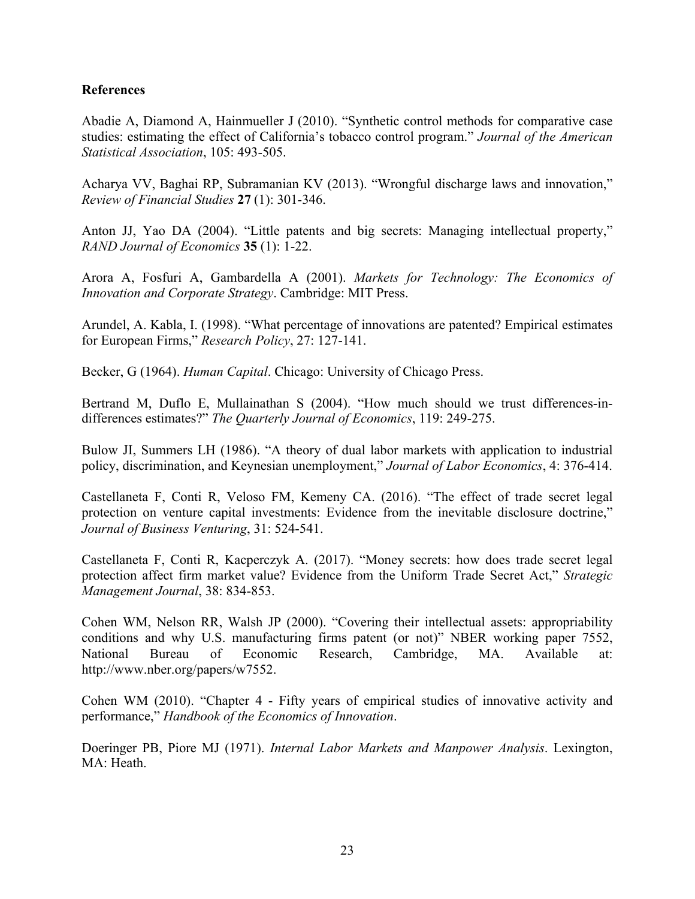# **References**

Abadie A, Diamond A, Hainmueller J (2010). "Synthetic control methods for comparative case studies: estimating the effect of California's tobacco control program." *Journal of the American Statistical Association*, 105: 493-505.

Acharya VV, Baghai RP, Subramanian KV (2013). "Wrongful discharge laws and innovation," *Review of Financial Studies* **27** (1): 301-346.

Anton JJ, Yao DA (2004). "Little patents and big secrets: Managing intellectual property," *RAND Journal of Economics* **35** (1): 1-22.

Arora A, Fosfuri A, Gambardella A (2001). *Markets for Technology: The Economics of Innovation and Corporate Strategy*. Cambridge: MIT Press.

Arundel, A. Kabla, I. (1998). "What percentage of innovations are patented? Empirical estimates for European Firms," *Research Policy*, 27: 127-141.

Becker, G (1964). *Human Capital*. Chicago: University of Chicago Press.

Bertrand M, Duflo E, Mullainathan S (2004). "How much should we trust differences-indifferences estimates?" *The Quarterly Journal of Economics*, 119: 249-275.

Bulow JI, Summers LH (1986). "A theory of dual labor markets with application to industrial policy, discrimination, and Keynesian unemployment," *Journal of Labor Economics*, 4: 376-414.

Castellaneta F, Conti R, Veloso FM, Kemeny CA. (2016). "The effect of trade secret legal protection on venture capital investments: Evidence from the inevitable disclosure doctrine," *Journal of Business Venturing*, 31: 524-541.

Castellaneta F, Conti R, Kacperczyk A. (2017). "Money secrets: how does trade secret legal protection affect firm market value? Evidence from the Uniform Trade Secret Act," *Strategic Management Journal*, 38: 834-853.

Cohen WM, Nelson RR, Walsh JP (2000). "Covering their intellectual assets: appropriability conditions and why U.S. manufacturing firms patent (or not)" NBER working paper 7552, National Bureau of Economic Research, Cambridge, MA. Available at: http://www.nber.org/papers/w7552.

Cohen WM (2010). "Chapter 4 - Fifty years of empirical studies of innovative activity and performance," *Handbook of the Economics of Innovation*.

Doeringer PB, Piore MJ (1971). *Internal Labor Markets and Manpower Analysis*. Lexington, MA: Heath.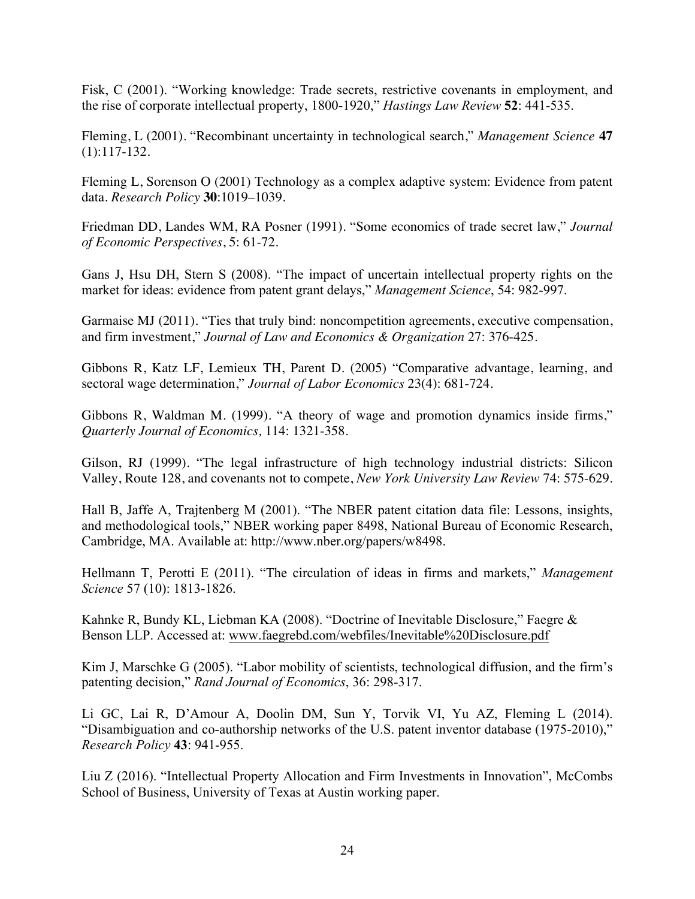Fisk, C (2001). "Working knowledge: Trade secrets, restrictive covenants in employment, and the rise of corporate intellectual property, 1800-1920," *Hastings Law Review* **52**: 441-535.

Fleming, L (2001). "Recombinant uncertainty in technological search," *Management Science* **47** (1):117-132.

Fleming L, Sorenson O (2001) Technology as a complex adaptive system: Evidence from patent data. *Research Policy* **30**:1019–1039.

Friedman DD, Landes WM, RA Posner (1991). "Some economics of trade secret law," *Journal of Economic Perspectives*, 5: 61-72.

Gans J, Hsu DH, Stern S (2008). "The impact of uncertain intellectual property rights on the market for ideas: evidence from patent grant delays," *Management Science*, 54: 982-997.

Garmaise MJ (2011). "Ties that truly bind: noncompetition agreements, executive compensation, and firm investment," *Journal of Law and Economics & Organization* 27: 376-425.

Gibbons R, Katz LF, Lemieux TH, Parent D. (2005) "Comparative advantage, learning, and sectoral wage determination," *Journal of Labor Economics* 23(4): 681-724.

Gibbons R, Waldman M. (1999). "A theory of wage and promotion dynamics inside firms," *Quarterly Journal of Economics,* 114: 1321-358.

Gilson, RJ (1999). "The legal infrastructure of high technology industrial districts: Silicon Valley, Route 128, and covenants not to compete, *New York University Law Review* 74: 575-629.

Hall B, Jaffe A, Trajtenberg M (2001). "The NBER patent citation data file: Lessons, insights, and methodological tools," NBER working paper 8498, National Bureau of Economic Research, Cambridge, MA. Available at: http://www.nber.org/papers/w8498.

Hellmann T, Perotti E (2011). "The circulation of ideas in firms and markets," *Management Science* 57 (10): 1813-1826.

Kahnke R, Bundy KL, Liebman KA (2008). "Doctrine of Inevitable Disclosure," Faegre & Benson LLP. Accessed at: www.faegrebd.com/webfiles/Inevitable%20Disclosure.pdf

Kim J, Marschke G (2005). "Labor mobility of scientists, technological diffusion, and the firm's patenting decision," *Rand Journal of Economics*, 36: 298-317.

Li GC, Lai R, D'Amour A, Doolin DM, Sun Y, Torvik VI, Yu AZ, Fleming L (2014). "Disambiguation and co-authorship networks of the U.S. patent inventor database (1975-2010)," *Research Policy* **43**: 941-955.

Liu Z (2016). "Intellectual Property Allocation and Firm Investments in Innovation", McCombs School of Business, University of Texas at Austin working paper.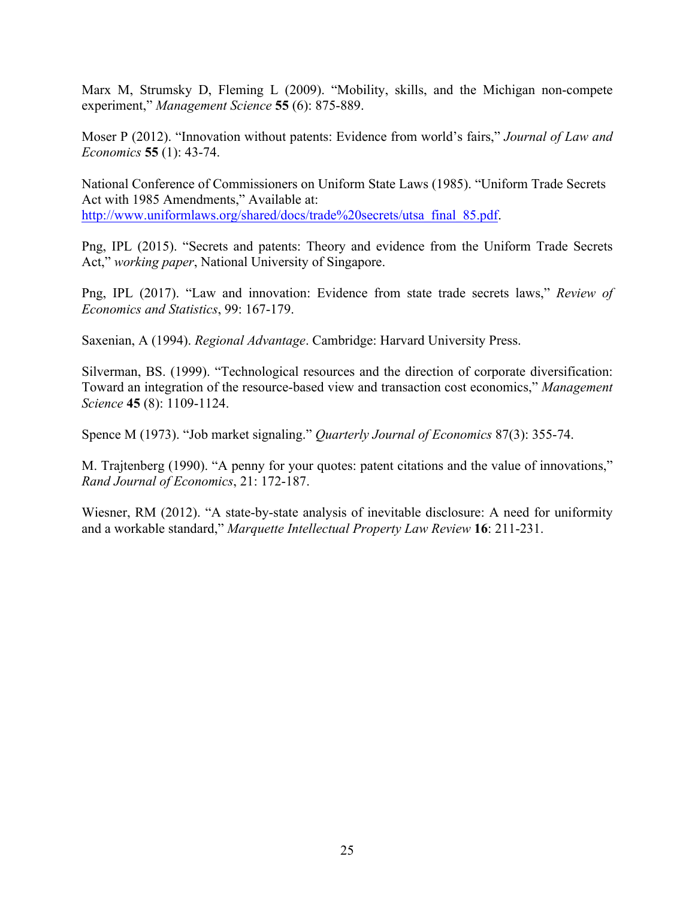Marx M, Strumsky D, Fleming L (2009). "Mobility, skills, and the Michigan non-compete experiment," *Management Science* **55** (6): 875-889.

Moser P (2012). "Innovation without patents: Evidence from world's fairs," *Journal of Law and Economics* **55** (1): 43-74.

National Conference of Commissioners on Uniform State Laws (1985). "Uniform Trade Secrets Act with 1985 Amendments," Available at: http://www.uniformlaws.org/shared/docs/trade%20secrets/utsa\_final\_85.pdf.

Png, IPL (2015). "Secrets and patents: Theory and evidence from the Uniform Trade Secrets Act," *working paper*, National University of Singapore.

Png, IPL (2017). "Law and innovation: Evidence from state trade secrets laws," *Review of Economics and Statistics*, 99: 167-179.

Saxenian, A (1994). *Regional Advantage*. Cambridge: Harvard University Press.

Silverman, BS. (1999). "Technological resources and the direction of corporate diversification: Toward an integration of the resource-based view and transaction cost economics," *Management Science* **45** (8): 1109-1124.

Spence M (1973). "Job market signaling." *Quarterly Journal of Economics* 87(3): 355-74.

M. Trajtenberg (1990). "A penny for your quotes: patent citations and the value of innovations," *Rand Journal of Economics*, 21: 172-187.

Wiesner, RM (2012). "A state-by-state analysis of inevitable disclosure: A need for uniformity and a workable standard," *Marquette Intellectual Property Law Review* **16**: 211-231.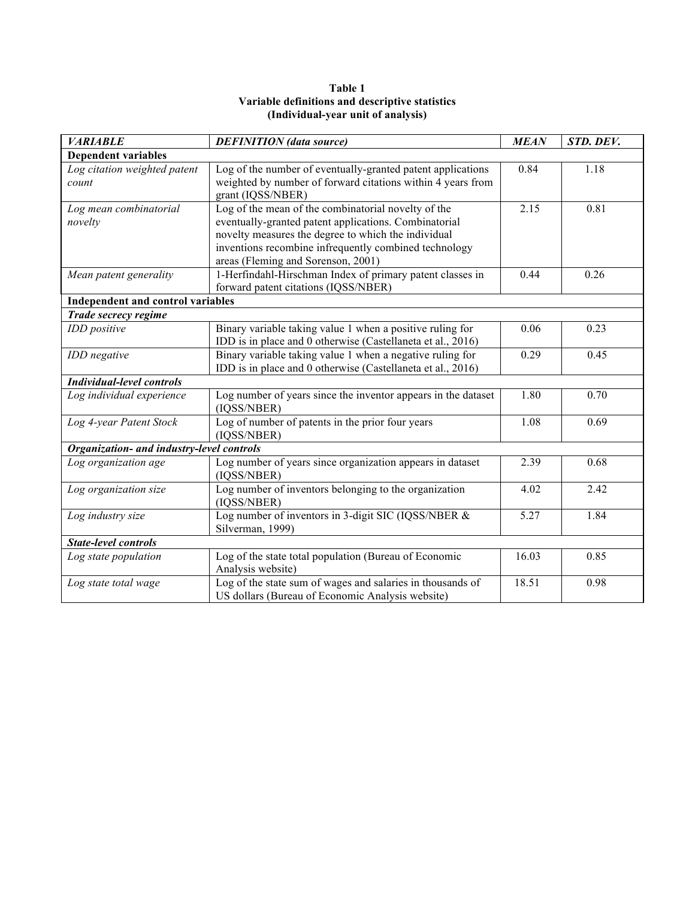| Table 1                                         |  |
|-------------------------------------------------|--|
| Variable definitions and descriptive statistics |  |
| (Individual-year unit of analysis)              |  |

| <b>VARIABLE</b>                           | <b>DEFINITION</b> (data source)                                                                                                                                                                                                                                    | <b>MEAN</b> | STD. DEV. |
|-------------------------------------------|--------------------------------------------------------------------------------------------------------------------------------------------------------------------------------------------------------------------------------------------------------------------|-------------|-----------|
| <b>Dependent variables</b>                |                                                                                                                                                                                                                                                                    |             |           |
| Log citation weighted patent<br>count     | Log of the number of eventually-granted patent applications<br>weighted by number of forward citations within 4 years from<br>grant (IQSS/NBER)                                                                                                                    | 0.84        | 1.18      |
| Log mean combinatorial<br>novelty         | Log of the mean of the combinatorial novelty of the<br>eventually-granted patent applications. Combinatorial<br>novelty measures the degree to which the individual<br>inventions recombine infrequently combined technology<br>areas (Fleming and Sorenson, 2001) | 2.15        | 0.81      |
| Mean patent generality                    | 1-Herfindahl-Hirschman Index of primary patent classes in<br>forward patent citations (IQSS/NBER)                                                                                                                                                                  | 0.44        | 0.26      |
| Independent and control variables         |                                                                                                                                                                                                                                                                    |             |           |
| Trade secrecy regime                      |                                                                                                                                                                                                                                                                    |             |           |
| IDD positive                              | Binary variable taking value 1 when a positive ruling for<br>IDD is in place and 0 otherwise (Castellaneta et al., 2016)                                                                                                                                           | 0.06        | 0.23      |
| IDD negative                              | Binary variable taking value 1 when a negative ruling for<br>IDD is in place and 0 otherwise (Castellaneta et al., 2016)                                                                                                                                           | 0.29        | 0.45      |
| <b>Individual-level controls</b>          |                                                                                                                                                                                                                                                                    |             |           |
| Log individual experience                 | Log number of years since the inventor appears in the dataset<br>(IQSS/NBER)                                                                                                                                                                                       | 1.80        | 0.70      |
| Log 4-year Patent Stock                   | Log of number of patents in the prior four years<br>(IQSS/NBER)                                                                                                                                                                                                    | 1.08        | 0.69      |
| Organization- and industry-level controls |                                                                                                                                                                                                                                                                    |             |           |
| Log organization age                      | Log number of years since organization appears in dataset<br>(IQSS/NBER)                                                                                                                                                                                           | 2.39        | 0.68      |
| Log organization size                     | Log number of inventors belonging to the organization<br>(IQSS/NBER)                                                                                                                                                                                               | 4.02        | 2.42      |
| Log industry size                         | Log number of inventors in 3-digit SIC (IQSS/NBER &<br>Silverman, 1999)                                                                                                                                                                                            | 5.27        | 1.84      |
| <b>State-level controls</b>               |                                                                                                                                                                                                                                                                    |             |           |
| Log state population                      | Log of the state total population (Bureau of Economic<br>Analysis website)                                                                                                                                                                                         | 16.03       | 0.85      |
| Log state total wage                      | Log of the state sum of wages and salaries in thousands of<br>US dollars (Bureau of Economic Analysis website)                                                                                                                                                     | 18.51       | 0.98      |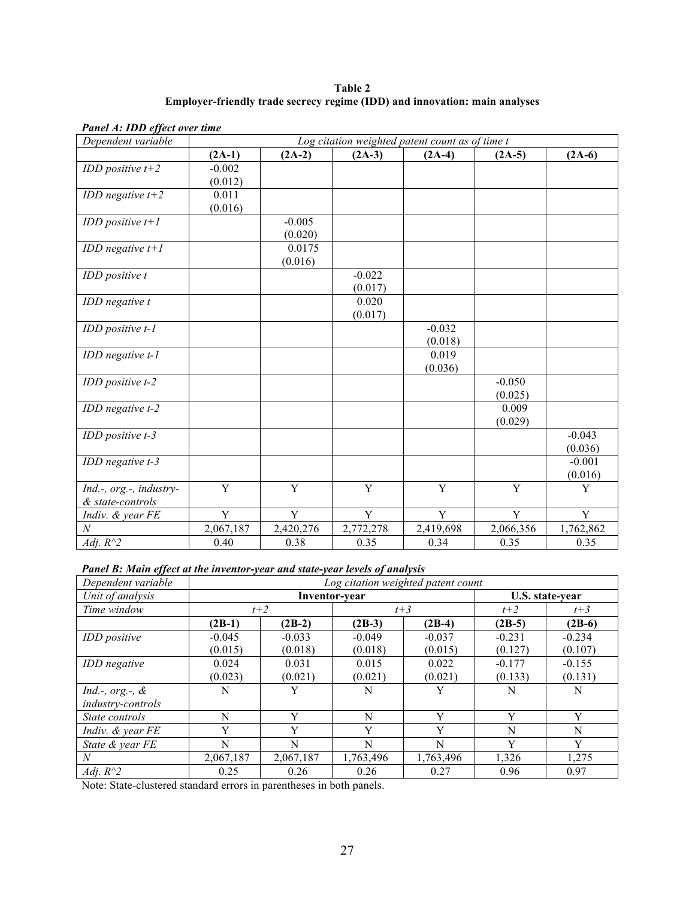**Table 2 Employer-friendly trade secrecy regime (IDD) and innovation: main analyses**

| Punet A: IDD effect over time<br>Dependent variable |                |                | Log citation weighted patent count as of time t |                |                |           |
|-----------------------------------------------------|----------------|----------------|-------------------------------------------------|----------------|----------------|-----------|
|                                                     | $(2A-1)$       | $(2A-2)$       | $(2A-3)$                                        | $(2A-4)$       | $(2A-5)$       | $(2A-6)$  |
| IDD positive $t+2$                                  | $-0.002$       |                |                                                 |                |                |           |
|                                                     | (0.012)        |                |                                                 |                |                |           |
| IDD negative $t+2$                                  | 0.011          |                |                                                 |                |                |           |
|                                                     | (0.016)        |                |                                                 |                |                |           |
| IDD positive $t+1$                                  |                | $-0.005$       |                                                 |                |                |           |
|                                                     |                | (0.020)        |                                                 |                |                |           |
| IDD negative $t+1$                                  |                | 0.0175         |                                                 |                |                |           |
|                                                     |                | (0.016)        |                                                 |                |                |           |
| IDD positive t                                      |                |                | $-0.022$                                        |                |                |           |
|                                                     |                |                | (0.017)                                         |                |                |           |
| IDD negative t                                      |                |                | 0.020                                           |                |                |           |
|                                                     |                |                | (0.017)                                         |                |                |           |
| IDD positive t-1                                    |                |                |                                                 | $-0.032$       |                |           |
|                                                     |                |                |                                                 | (0.018)        |                |           |
| IDD negative t-1                                    |                |                |                                                 | 0.019          |                |           |
|                                                     |                |                |                                                 | (0.036)        |                |           |
| IDD positive t-2                                    |                |                |                                                 |                | $-0.050$       |           |
|                                                     |                |                |                                                 |                | (0.025)        |           |
| IDD negative t-2                                    |                |                |                                                 |                | 0.009          |           |
|                                                     |                |                |                                                 |                | (0.029)        |           |
| IDD positive t-3                                    |                |                |                                                 |                |                | $-0.043$  |
|                                                     |                |                |                                                 |                |                | (0.036)   |
| IDD negative t-3                                    |                |                |                                                 |                |                | $-0.001$  |
|                                                     |                |                |                                                 |                |                | (0.016)   |
| Ind.-, org.-, industry-                             | $\overline{Y}$ | $\overline{Y}$ | Y                                               | $\overline{Y}$ | $\overline{Y}$ | Y         |
| & state-controls                                    |                |                |                                                 |                |                |           |
| Indiv. & year FE                                    | Y              | Y              | Y                                               | Y              | Y              | Y         |
| $\cal N$                                            | 2,067,187      | 2,420,276      | 2,772,278                                       | 2,419,698      | 2,066,356      | 1,762,862 |
| Adj. $R^2$                                          | 0.40           | 0.38           | 0.35                                            | 0.34           | 0.35           | 0.35      |

*Panel A: IDD effect over time*

*Panel B: Main effect at the inventor-year and state-year levels of analysis*

| Dependent variable    |           | Log citation weighted patent count |               |           |          |                 |  |
|-----------------------|-----------|------------------------------------|---------------|-----------|----------|-----------------|--|
| Unit of analysis      |           |                                    | Inventor-year |           |          | U.S. state-year |  |
| Time window           |           | $t+2$                              | $t+3$         |           | $t+2$    | $t+3$           |  |
|                       | $(2B-1)$  | $(2B-2)$                           | $(2B-3)$      | $(2B-4)$  | $(2B-5)$ | $(2B-6)$        |  |
| <b>IDD</b> positive   | $-0.045$  | $-0.033$                           | $-0.049$      | $-0.037$  | $-0.231$ | $-0.234$        |  |
|                       | (0.015)   | (0.018)                            | (0.018)       | (0.015)   | (0.127)  | (0.107)         |  |
| <b>IDD</b> negative   | 0.024     | 0.031                              | 0.015         | 0.022     | $-0.177$ | $-0.155$        |  |
|                       | (0.023)   | (0.021)                            | (0.021)       | (0.021)   | (0.133)  | (0.131)         |  |
| Ind.-, $org.$ -, $\&$ | N         | Y                                  | N             | Y         | N        | N               |  |
| industry-controls     |           |                                    |               |           |          |                 |  |
| State controls        | N         | Y                                  | N             | Y         | Y        | Y               |  |
| Indiv. & year FE      | Y         | Y                                  | Y             | Y         | N        | N               |  |
| State & year FE       | N         | N                                  | N             | N         | Y        | Y               |  |
| N                     | 2,067,187 | 2,067,187                          | 1,763,496     | 1,763,496 | 1,326    | 1,275           |  |
| Adj. $R^2$            | 0.25      | 0.26                               | 0.26          | 0.27      | 0.96     | 0.97            |  |

Note: State-clustered standard errors in parentheses in both panels.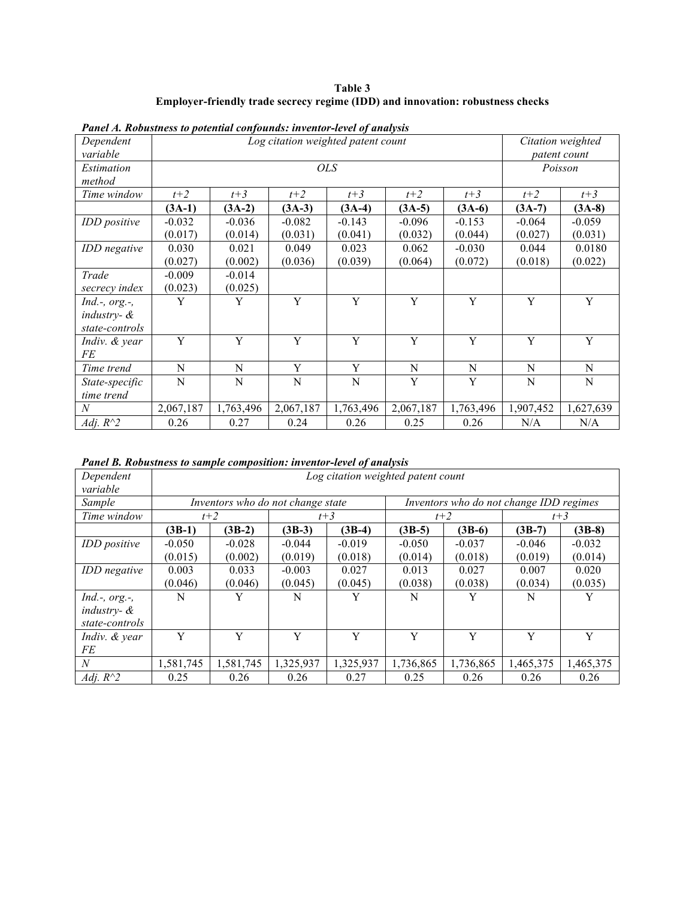# **Table 3 Employer-friendly trade secrecy regime (IDD) and innovation: robustness checks**

| r ance in noonsmess to polenaat confounds: inventor tevel of analysis<br>Dependent<br>variable |           |           |           | Log citation weighted patent count |           |           |           | Citation weighted<br>patent count |
|------------------------------------------------------------------------------------------------|-----------|-----------|-----------|------------------------------------|-----------|-----------|-----------|-----------------------------------|
| Estimation<br>method                                                                           |           |           |           | <i>OLS</i>                         |           |           |           | Poisson                           |
| Time window                                                                                    | $t+2$     | $t+3$     | $t+2$     | $t+3$                              | $t+2$     | $t+3$     | $t+2$     | $t+3$                             |
|                                                                                                | $(3A-1)$  | $(3A-2)$  | $(3A-3)$  | $(3A-4)$                           | $(3A-5)$  | $(3A-6)$  | $(3A-7)$  | $(3A-8)$                          |
| <b>IDD</b> positive                                                                            | $-0.032$  | $-0.036$  | $-0.082$  | $-0.143$                           | $-0.096$  | $-0.153$  | $-0.064$  | $-0.059$                          |
|                                                                                                | (0.017)   | (0.014)   | (0.031)   | (0.041)                            | (0.032)   | (0.044)   | (0.027)   | (0.031)                           |
| IDD negative                                                                                   | 0.030     | 0.021     | 0.049     | 0.023                              | 0.062     | $-0.030$  | 0.044     | 0.0180                            |
|                                                                                                | (0.027)   | (0.002)   | (0.036)   | (0.039)                            | (0.064)   | (0.072)   | (0.018)   | (0.022)                           |
| Trade                                                                                          | $-0.009$  | $-0.014$  |           |                                    |           |           |           |                                   |
| secrecy index                                                                                  | (0.023)   | (0.025)   |           |                                    |           |           |           |                                   |
| $Ind.$ -, $org.$ -,                                                                            | Y         | Y         | Y         | Y                                  | Y         | Y         | Y         | Y                                 |
| industry- $\&$                                                                                 |           |           |           |                                    |           |           |           |                                   |
| state-controls                                                                                 |           |           |           |                                    |           |           |           |                                   |
| Indiv. & year                                                                                  | Y         | Y         | Y         | Y                                  | Y         | Y         | Y         | Y                                 |
| FE                                                                                             |           |           |           |                                    |           |           |           |                                   |
| Time trend                                                                                     | N         | N         | Y         | Y                                  | N         | N         | N         | N                                 |
| State-specific                                                                                 | N         | N         | N         | N                                  | Y         | Y         | N         | N                                 |
| time trend                                                                                     |           |           |           |                                    |           |           |           |                                   |
| $\overline{N}$                                                                                 | 2,067,187 | 1,763,496 | 2,067,187 | 1,763,496                          | 2,067,187 | 1,763,496 | 1,907,452 | 1,627,639                         |
| Adj. $R^2$                                                                                     | 0.26      | 0.27      | 0.24      | 0.26                               | 0.25      | 0.26      | N/A       | N/A                               |

#### *Panel A. Robustness to potential confounds: inventor-level of analysis*

*Panel B. Robustness to sample composition: inventor-level of analysis*

| Dependent<br>variable | Log citation weighted patent count |                                   |           |           |           |           |                                         |           |
|-----------------------|------------------------------------|-----------------------------------|-----------|-----------|-----------|-----------|-----------------------------------------|-----------|
| Sample                |                                    | Inventors who do not change state |           |           |           |           | Inventors who do not change IDD regimes |           |
| Time window           |                                    | $t+2$                             |           | $t+3$     | $t+2$     |           | $t+3$                                   |           |
|                       | $(3B-1)$                           | $(3B-2)$                          | $(3B-3)$  | $(3B-4)$  | $(3B-5)$  | $(3B-6)$  | $(3B-7)$                                | $(3B-8)$  |
| <b>IDD</b> positive   | $-0.050$                           | $-0.028$                          | $-0.044$  | $-0.019$  | $-0.050$  | $-0.037$  | $-0.046$                                | $-0.032$  |
|                       | (0.015)                            | (0.002)                           | (0.019)   | (0.018)   | (0.014)   | (0.018)   | (0.019)                                 | (0.014)   |
| <b>IDD</b> negative   | 0.003                              | 0.033                             | $-0.003$  | 0.027     | 0.013     | 0.027     | 0.007                                   | 0.020     |
|                       | (0.046)                            | (0.046)                           | (0.045)   | (0.045)   | (0.038)   | (0.038)   | (0.034)                                 | (0.035)   |
| $Ind.$ -, $org.$ -,   | N                                  | Y                                 | N         | Y         | N         | Y         | N                                       | Y         |
| $industry-$ &         |                                    |                                   |           |           |           |           |                                         |           |
| state-controls        |                                    |                                   |           |           |           |           |                                         |           |
| Indiv. & year         | Y                                  | Y                                 | Y         | Y         | Y         | Y         | Y                                       | Y         |
| FE                    |                                    |                                   |           |           |           |           |                                         |           |
| $\overline{N}$        | 1,581,745                          | 1,581,745                         | 1,325,937 | 1,325,937 | 1,736,865 | 1,736,865 | 1,465,375                               | 1,465,375 |
| Adj. $R^2$            | 0.25                               | 0.26                              | 0.26      | 0.27      | 0.25      | 0.26      | 0.26                                    | 0.26      |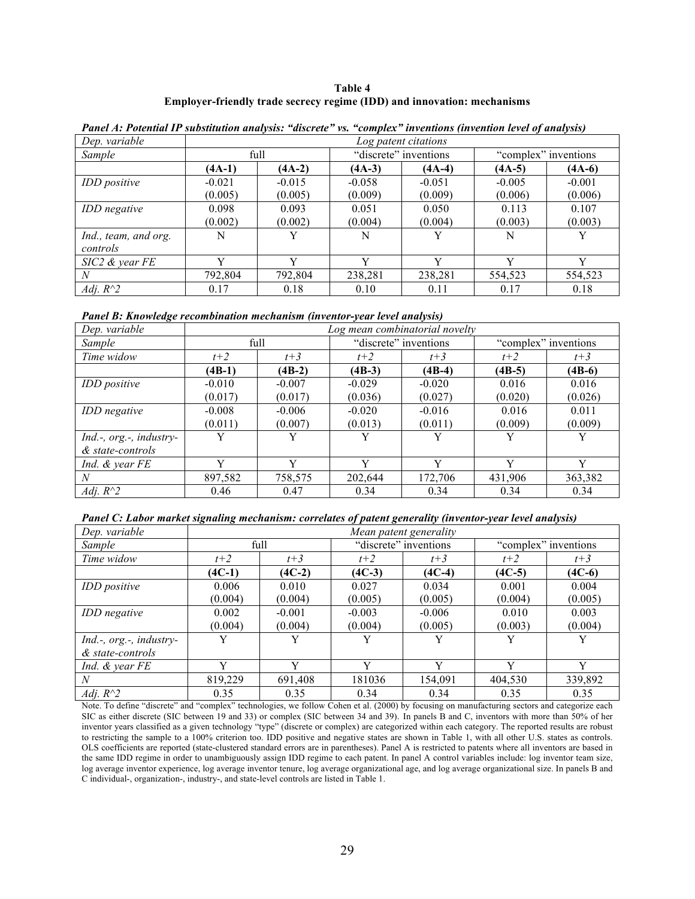|  |  | Table 4 |                                                                         |  |
|--|--|---------|-------------------------------------------------------------------------|--|
|  |  |         | Employer-friendly trade secrecy regime (IDD) and innovation: mechanisms |  |

| Dep. variable                    |          | $\tilde{\phantom{a}}$<br>$\cdot$<br>$\sim$ $\sim$<br>Log patent citations |          |                       |          |                      |  |
|----------------------------------|----------|---------------------------------------------------------------------------|----------|-----------------------|----------|----------------------|--|
| Sample                           |          | full                                                                      |          | "discrete" inventions |          | "complex" inventions |  |
|                                  | $(4A-1)$ | $(4A-2)$                                                                  | $(4A-3)$ | $(4A-4)$              | $(4A-5)$ | $(4A-6)$             |  |
| <b>IDD</b> positive              | $-0.021$ | $-0.015$                                                                  | $-0.058$ | $-0.051$              | $-0.005$ | $-0.001$             |  |
|                                  | (0.005)  | (0.005)                                                                   | (0.009)  | (0.009)               | (0.006)  | (0.006)              |  |
| <b>IDD</b> negative              | 0.098    | 0.093                                                                     | 0.051    | 0.050                 | 0.113    | 0.107                |  |
|                                  | (0.002)  | (0.002)                                                                   | (0.004)  | (0.004)               | (0.003)  | (0.003)              |  |
| Ind., team, and org.<br>controls | N        | Y                                                                         | N        | Y                     | N        | Y                    |  |
| $SIC2$ & year $FE$               | Y        | Y                                                                         | V        | $\bf v$               | V        | v                    |  |
| $\overline{N}$                   | 792,804  | 792,804                                                                   | 238,281  | 238,281               | 554,523  | 554,523              |  |
| Adj. $R^2$                       | 0.17     | 0.18                                                                      | 0.10     | 0.11                  | 0.17     | 0.18                 |  |

*Panel A: Potential IP substitution analysis: "discrete" vs. "complex" inventions (invention level of analysis)*

*Panel B: Knowledge recombination mechanism (inventor-year level analysis)*

| Dep. variable                   |          | Log mean combinatorial novelty |          |                       |          |                      |  |
|---------------------------------|----------|--------------------------------|----------|-----------------------|----------|----------------------|--|
| Sample                          |          | full                           |          | "discrete" inventions |          | "complex" inventions |  |
| Time widow                      | $t+2$    | $t+3$                          | $t+2$    | $t+3$                 | $t+2$    | $t+3$                |  |
|                                 | $(4B-1)$ | $(4B-2)$                       | $(4B-3)$ | $(4B-4)$              | $(4B-5)$ | $(4B-6)$             |  |
| <b>IDD</b> positive             | $-0.010$ | $-0.007$                       | $-0.029$ | $-0.020$              | 0.016    | 0.016                |  |
|                                 | (0.017)  | (0.017)                        | (0.036)  | (0.027)               | (0.020)  | (0.026)              |  |
| <b>IDD</b> negative             | $-0.008$ | $-0.006$                       | $-0.020$ | $-0.016$              | 0.016    | 0.011                |  |
|                                 | (0.011)  | (0.007)                        | (0.013)  | (0.011)               | (0.009)  | (0.009)              |  |
| $Ind.$ -, $org.$ -, $industry-$ | Y        | Y                              | Y        | Y                     | Y        | Y                    |  |
| & state-controls                |          |                                |          |                       |          |                      |  |
| Ind. & year FE                  | Y        | Y                              | Y        | V                     | Y        | Y                    |  |
| N                               | 897,582  | 758,575                        | 202,644  | 172,706               | 431,906  | 363,382              |  |
| Adj. $R^2$                      | 0.46     | 0.47                           | 0.34     | 0.34                  | 0.34     | 0.34                 |  |

| Panel C: Labor market signaling mechanism: correlates of patent generality (inventor-year level analysis) |  |  |
|-----------------------------------------------------------------------------------------------------------|--|--|
|-----------------------------------------------------------------------------------------------------------|--|--|

| Dep. variable                   | Mean patent generality |          |          |                       |          |                      |  |
|---------------------------------|------------------------|----------|----------|-----------------------|----------|----------------------|--|
| Sample                          |                        | full     |          | "discrete" inventions |          | "complex" inventions |  |
| Time widow                      | $t+2$                  | $t+3$    | $t+2$    | $t+3$                 | $t+2$    | $t+3$                |  |
|                                 | $(4C-1)$               | $(4C-2)$ | $(4C-3)$ | $(4C-4)$              | $(4C-5)$ | $(4C-6)$             |  |
| <b>IDD</b> positive             | 0.006                  | 0.010    | 0.027    | 0.034                 | 0.001    | 0.004                |  |
|                                 | (0.004)                | (0.004)  | (0.005)  | (0.005)               | (0.004)  | (0.005)              |  |
| <b>IDD</b> negative             | 0.002                  | $-0.001$ | $-0.003$ | $-0.006$              | 0.010    | 0.003                |  |
|                                 | (0.004)                | (0.004)  | (0.004)  | (0.005)               | (0.003)  | (0.004)              |  |
| $Ind.$ -, $org.$ -, $industry-$ | Y                      | Y        | Y        | Y                     | Y        | Y                    |  |
| & state-controls                |                        |          |          |                       |          |                      |  |
| Ind. & year FE                  | Y                      | Y        | Y        | Y                     | Y        | Y                    |  |
| $\overline{N}$                  | 819,229                | 691,408  | 181036   | 154,091               | 404,530  | 339,892              |  |
| Adj. $R^2$                      | 0.35                   | 0.35     | 0.34     | 0.34                  | 0.35     | 0.35                 |  |

Note. To define "discrete" and "complex" technologies, we follow Cohen et al. (2000) by focusing on manufacturing sectors and categorize each SIC as either discrete (SIC between 19 and 33) or complex (SIC between 34 and 39). In panels B and C, inventors with more than 50% of her inventor years classified as a given technology "type" (discrete or complex) are categorized within each category. The reported results are robust to restricting the sample to a 100% criterion too. IDD positive and negative states are shown in Table 1, with all other U.S. states as controls. OLS coefficients are reported (state-clustered standard errors are in parentheses). Panel A is restricted to patents where all inventors are based in the same IDD regime in order to unambiguously assign IDD regime to each patent. In panel A control variables include: log inventor team size, log average inventor experience, log average inventor tenure, log average organizational age, and log average organizational size. In panels B and C individual-, organization-, industry-, and state-level controls are listed in Table 1.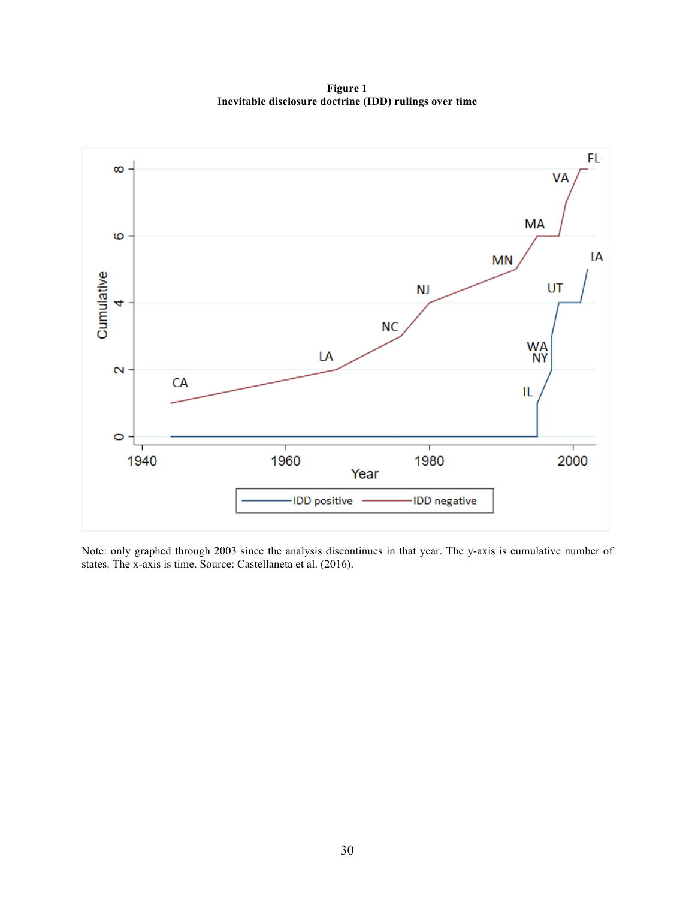**Figure 1 Inevitable disclosure doctrine (IDD) rulings over time**



Note: only graphed through 2003 since the analysis discontinues in that year. The y-axis is cumulative number of states. The x-axis is time. Source: Castellaneta et al. (2016).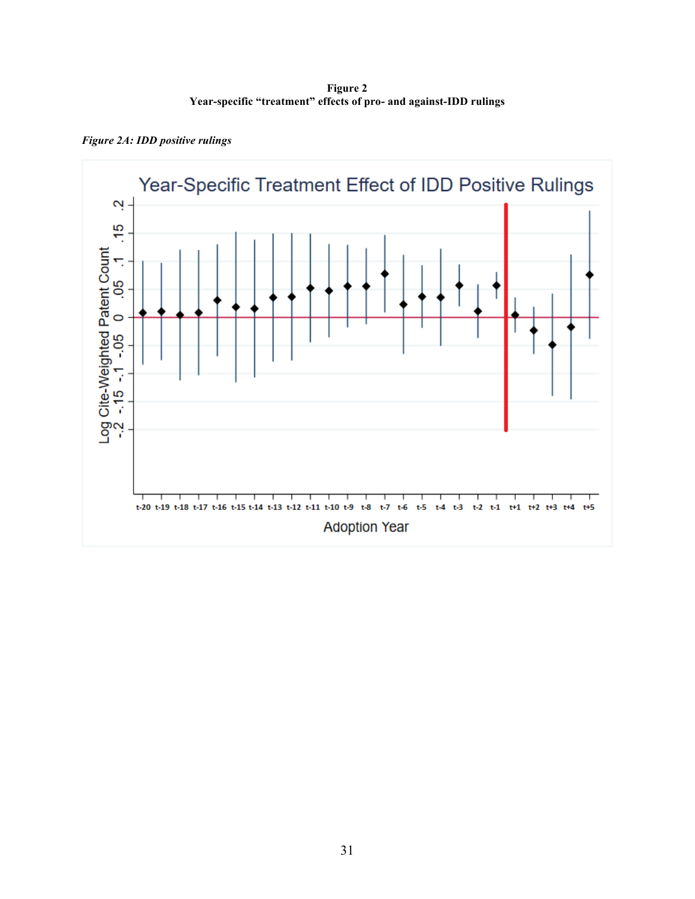**Figure 2 Year-specific "treatment" effects of pro- and against-IDD rulings**



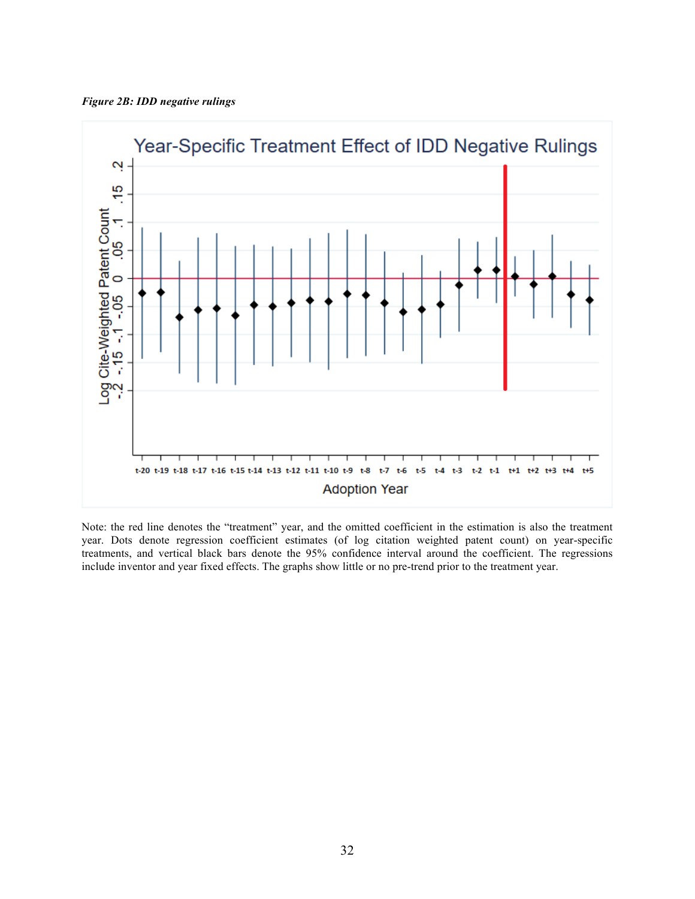



Note: the red line denotes the "treatment" year, and the omitted coefficient in the estimation is also the treatment year. Dots denote regression coefficient estimates (of log citation weighted patent count) on year-specific treatments, and vertical black bars denote the 95% confidence interval around the coefficient. The regressions include inventor and year fixed effects. The graphs show little or no pre-trend prior to the treatment year.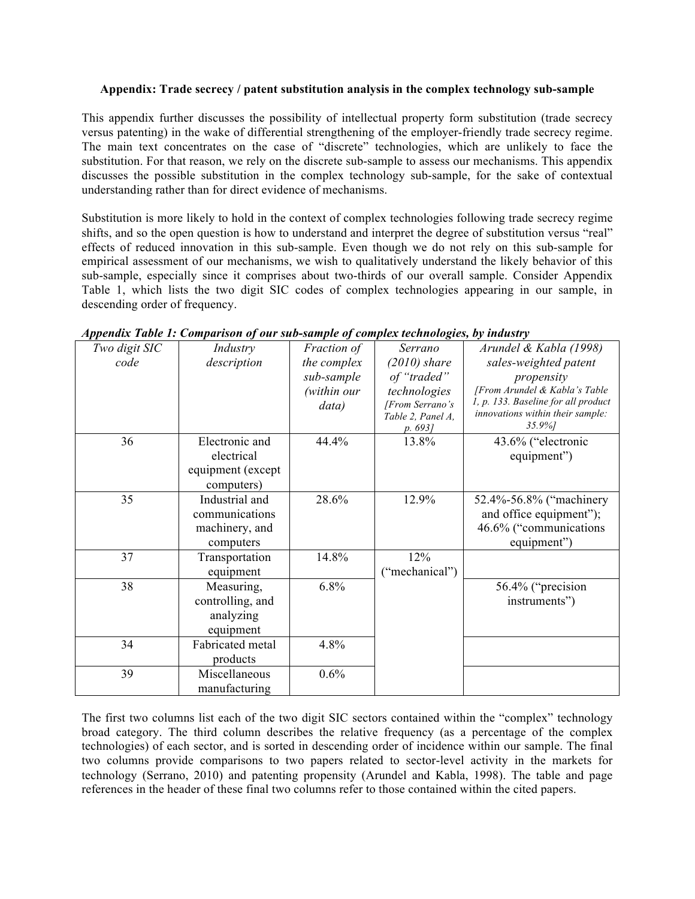#### **Appendix: Trade secrecy / patent substitution analysis in the complex technology sub-sample**

This appendix further discusses the possibility of intellectual property form substitution (trade secrecy versus patenting) in the wake of differential strengthening of the employer-friendly trade secrecy regime. The main text concentrates on the case of "discrete" technologies, which are unlikely to face the substitution. For that reason, we rely on the discrete sub-sample to assess our mechanisms. This appendix discusses the possible substitution in the complex technology sub-sample, for the sake of contextual understanding rather than for direct evidence of mechanisms.

Substitution is more likely to hold in the context of complex technologies following trade secrecy regime shifts, and so the open question is how to understand and interpret the degree of substitution versus "real" effects of reduced innovation in this sub-sample. Even though we do not rely on this sub-sample for empirical assessment of our mechanisms, we wish to qualitatively understand the likely behavior of this sub-sample, especially since it comprises about two-thirds of our overall sample. Consider Appendix Table 1, which lists the two digit SIC codes of complex technologies appearing in our sample, in descending order of frequency.

| Two digit SIC<br>code | Industry<br>description                                         | Fraction of<br>the complex<br>sub-sample<br>(within our<br>data) | Serrano<br>$(2010)$ share<br>of "traded"<br>technologies<br>[From Serrano's<br>Table 2, Panel A,<br>p. 693] | Arundel & Kabla (1998)<br>sales-weighted patent<br>propensity<br>[From Arundel & Kabla's Table<br>1, p. 133. Baseline for all product<br>innovations within their sample:<br>35.9%] |
|-----------------------|-----------------------------------------------------------------|------------------------------------------------------------------|-------------------------------------------------------------------------------------------------------------|-------------------------------------------------------------------------------------------------------------------------------------------------------------------------------------|
| 36                    | Electronic and<br>electrical<br>equipment (except<br>computers) | 44.4%                                                            | 13.8%                                                                                                       | 43.6% ("electronic<br>equipment")                                                                                                                                                   |
| 35                    | Industrial and<br>communications<br>machinery, and<br>computers | 28.6%                                                            | 12.9%                                                                                                       | 52.4%-56.8% ("machinery<br>and office equipment");<br>46.6% ("communications<br>equipment")                                                                                         |
| 37                    | Transportation<br>equipment                                     | 14.8%                                                            | 12%<br>("mechanical")                                                                                       |                                                                                                                                                                                     |
| 38                    | Measuring,<br>controlling, and<br>analyzing<br>equipment        | 6.8%                                                             |                                                                                                             | 56.4% ("precision<br>instruments")                                                                                                                                                  |
| 34                    | Fabricated metal<br>products                                    | 4.8%                                                             |                                                                                                             |                                                                                                                                                                                     |
| 39                    | Miscellaneous<br>manufacturing                                  | 0.6%                                                             |                                                                                                             |                                                                                                                                                                                     |

*Appendix Table 1: Comparison of our sub-sample of complex technologies, by industry*

The first two columns list each of the two digit SIC sectors contained within the "complex" technology broad category. The third column describes the relative frequency (as a percentage of the complex technologies) of each sector, and is sorted in descending order of incidence within our sample. The final two columns provide comparisons to two papers related to sector-level activity in the markets for technology (Serrano, 2010) and patenting propensity (Arundel and Kabla, 1998). The table and page references in the header of these final two columns refer to those contained within the cited papers.